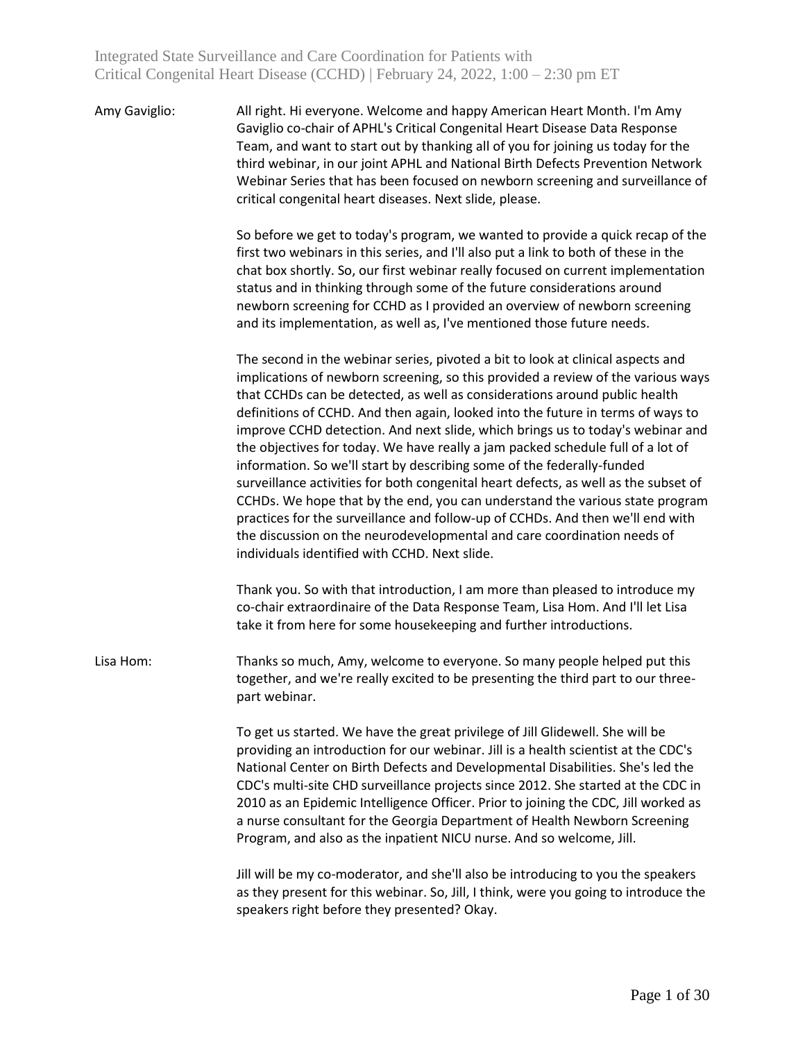| Amy Gaviglio: | All right. Hi everyone. Welcome and happy American Heart Month. I'm Amy         |
|---------------|---------------------------------------------------------------------------------|
|               | Gaviglio co-chair of APHL's Critical Congenital Heart Disease Data Response     |
|               | Team, and want to start out by thanking all of you for joining us today for the |
|               | third webinar, in our joint APHL and National Birth Defects Prevention Network  |
|               | Webinar Series that has been focused on newborn screening and surveillance of   |
|               | critical congenital heart diseases. Next slide, please.                         |

So before we get to today's program, we wanted to provide a quick recap of the first two webinars in this series, and I'll also put a link to both of these in the chat box shortly. So, our first webinar really focused on current implementation status and in thinking through some of the future considerations around newborn screening for CCHD as I provided an overview of newborn screening and its implementation, as well as, I've mentioned those future needs.

The second in the webinar series, pivoted a bit to look at clinical aspects and implications of newborn screening, so this provided a review of the various ways that CCHDs can be detected, as well as considerations around public health definitions of CCHD. And then again, looked into the future in terms of ways to improve CCHD detection. And next slide, which brings us to today's webinar and the objectives for today. We have really a jam packed schedule full of a lot of information. So we'll start by describing some of the federally-funded surveillance activities for both congenital heart defects, as well as the subset of CCHDs. We hope that by the end, you can understand the various state program practices for the surveillance and follow-up of CCHDs. And then we'll end with the discussion on the neurodevelopmental and care coordination needs of individuals identified with CCHD. Next slide.

Thank you. So with that introduction, I am more than pleased to introduce my co-chair extraordinaire of the Data Response Team, Lisa Hom. And I'll let Lisa take it from here for some housekeeping and further introductions.

Lisa Hom: Thanks so much, Amy, welcome to everyone. So many people helped put this together, and we're really excited to be presenting the third part to our threepart webinar.

> To get us started. We have the great privilege of Jill Glidewell. She will be providing an introduction for our webinar. Jill is a health scientist at the CDC's National Center on Birth Defects and Developmental Disabilities. She's led the CDC's multi-site CHD surveillance projects since 2012. She started at the CDC in 2010 as an Epidemic Intelligence Officer. Prior to joining the CDC, Jill worked as a nurse consultant for the Georgia Department of Health Newborn Screening Program, and also as the inpatient NICU nurse. And so welcome, Jill.

Jill will be my co-moderator, and she'll also be introducing to you the speakers as they present for this webinar. So, Jill, I think, were you going to introduce the speakers right before they presented? Okay.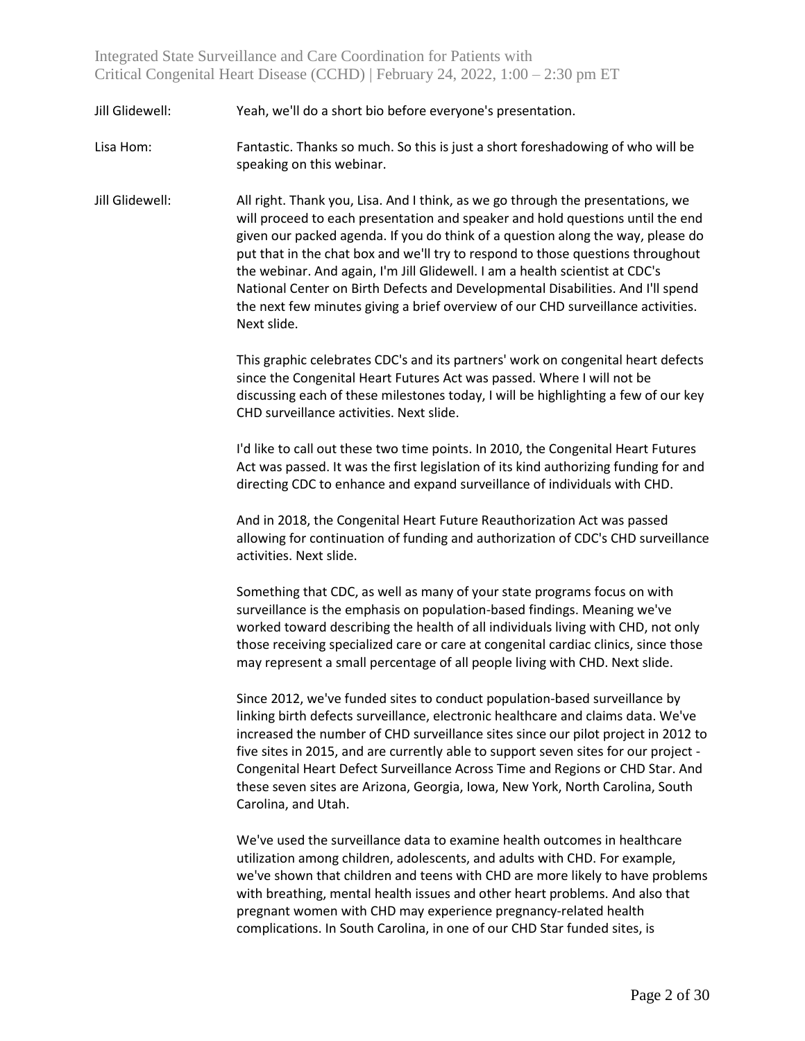Jill Glidewell: Yeah, we'll do a short bio before everyone's presentation.

Lisa Hom: Fantastic. Thanks so much. So this is just a short foreshadowing of who will be speaking on this webinar.

Jill Glidewell: All right. Thank you, Lisa. And I think, as we go through the presentations, we will proceed to each presentation and speaker and hold questions until the end given our packed agenda. If you do think of a question along the way, please do put that in the chat box and we'll try to respond to those questions throughout the webinar. And again, I'm Jill Glidewell. I am a health scientist at CDC's National Center on Birth Defects and Developmental Disabilities. And I'll spend the next few minutes giving a brief overview of our CHD surveillance activities. Next slide.

> This graphic celebrates CDC's and its partners' work on congenital heart defects since the Congenital Heart Futures Act was passed. Where I will not be discussing each of these milestones today, I will be highlighting a few of our key CHD surveillance activities. Next slide.

> I'd like to call out these two time points. In 2010, the Congenital Heart Futures Act was passed. It was the first legislation of its kind authorizing funding for and directing CDC to enhance and expand surveillance of individuals with CHD.

> And in 2018, the Congenital Heart Future Reauthorization Act was passed allowing for continuation of funding and authorization of CDC's CHD surveillance activities. Next slide.

Something that CDC, as well as many of your state programs focus on with surveillance is the emphasis on population-based findings. Meaning we've worked toward describing the health of all individuals living with CHD, not only those receiving specialized care or care at congenital cardiac clinics, since those may represent a small percentage of all people living with CHD. Next slide.

Since 2012, we've funded sites to conduct population-based surveillance by linking birth defects surveillance, electronic healthcare and claims data. We've increased the number of CHD surveillance sites since our pilot project in 2012 to five sites in 2015, and are currently able to support seven sites for our project - Congenital Heart Defect Surveillance Across Time and Regions or CHD Star. And these seven sites are Arizona, Georgia, Iowa, New York, North Carolina, South Carolina, and Utah.

We've used the surveillance data to examine health outcomes in healthcare utilization among children, adolescents, and adults with CHD. For example, we've shown that children and teens with CHD are more likely to have problems with breathing, mental health issues and other heart problems. And also that pregnant women with CHD may experience pregnancy-related health complications. In South Carolina, in one of our CHD Star funded sites, is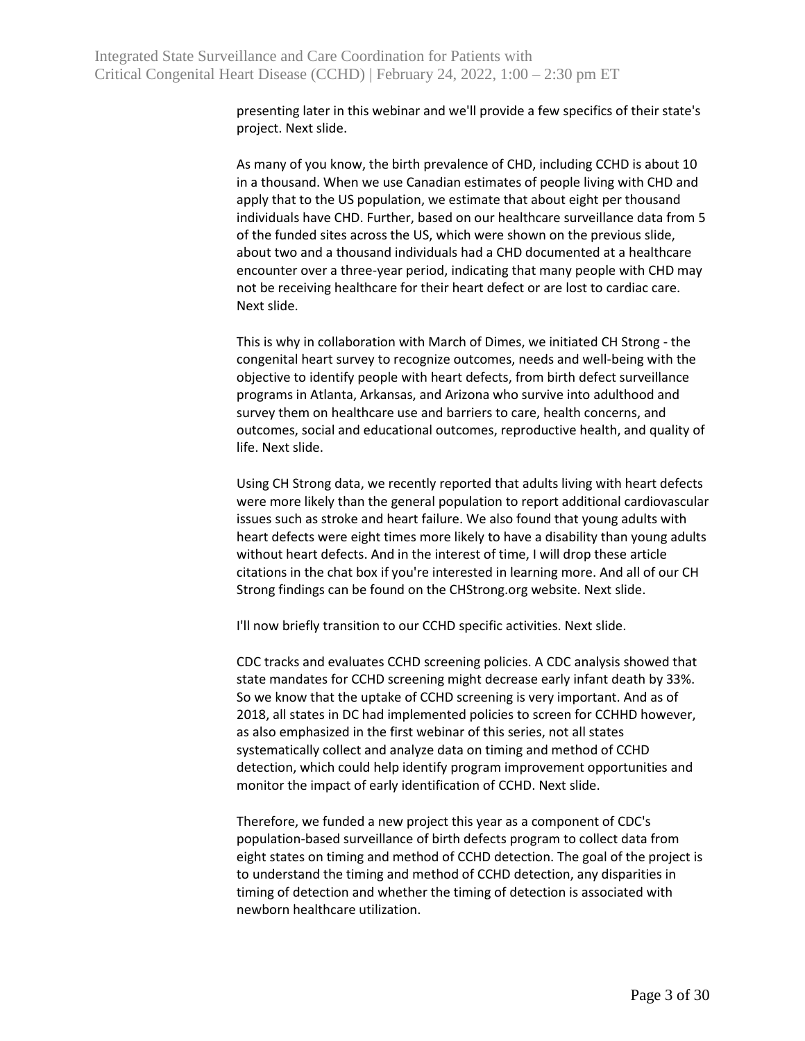presenting later in this webinar and we'll provide a few specifics of their state's project. Next slide.

As many of you know, the birth prevalence of CHD, including CCHD is about 10 in a thousand. When we use Canadian estimates of people living with CHD and apply that to the US population, we estimate that about eight per thousand individuals have CHD. Further, based on our healthcare surveillance data from 5 of the funded sites across the US, which were shown on the previous slide, about two and a thousand individuals had a CHD documented at a healthcare encounter over a three-year period, indicating that many people with CHD may not be receiving healthcare for their heart defect or are lost to cardiac care. Next slide.

This is why in collaboration with March of Dimes, we initiated CH Strong - the congenital heart survey to recognize outcomes, needs and well-being with the objective to identify people with heart defects, from birth defect surveillance programs in Atlanta, Arkansas, and Arizona who survive into adulthood and survey them on healthcare use and barriers to care, health concerns, and outcomes, social and educational outcomes, reproductive health, and quality of life. Next slide.

Using CH Strong data, we recently reported that adults living with heart defects were more likely than the general population to report additional cardiovascular issues such as stroke and heart failure. We also found that young adults with heart defects were eight times more likely to have a disability than young adults without heart defects. And in the interest of time, I will drop these article citations in the chat box if you're interested in learning more. And all of our CH Strong findings can be found on the CHStrong.org website. Next slide.

I'll now briefly transition to our CCHD specific activities. Next slide.

CDC tracks and evaluates CCHD screening policies. A CDC analysis showed that state mandates for CCHD screening might decrease early infant death by 33%. So we know that the uptake of CCHD screening is very important. And as of 2018, all states in DC had implemented policies to screen for CCHHD however, as also emphasized in the first webinar of this series, not all states systematically collect and analyze data on timing and method of CCHD detection, which could help identify program improvement opportunities and monitor the impact of early identification of CCHD. Next slide.

Therefore, we funded a new project this year as a component of CDC's population-based surveillance of birth defects program to collect data from eight states on timing and method of CCHD detection. The goal of the project is to understand the timing and method of CCHD detection, any disparities in timing of detection and whether the timing of detection is associated with newborn healthcare utilization.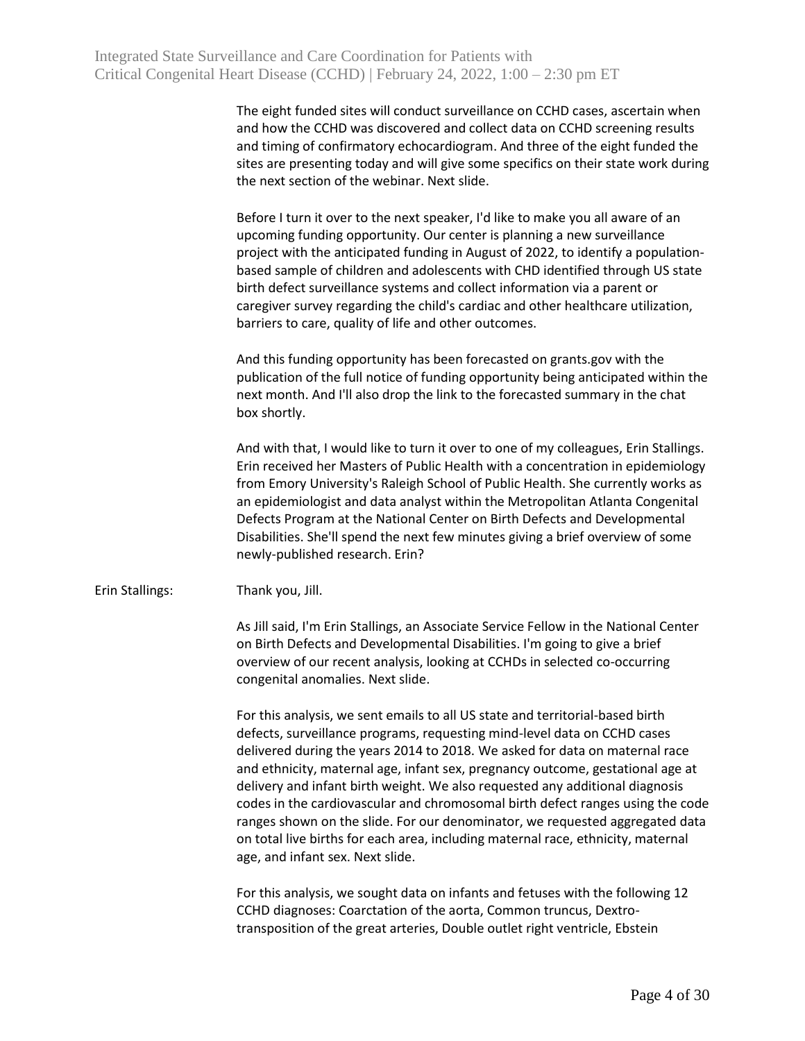The eight funded sites will conduct surveillance on CCHD cases, ascertain when and how the CCHD was discovered and collect data on CCHD screening results and timing of confirmatory echocardiogram. And three of the eight funded the sites are presenting today and will give some specifics on their state work during the next section of the webinar. Next slide.

Before I turn it over to the next speaker, I'd like to make you all aware of an upcoming funding opportunity. Our center is planning a new surveillance project with the anticipated funding in August of 2022, to identify a populationbased sample of children and adolescents with CHD identified through US state birth defect surveillance systems and collect information via a parent or caregiver survey regarding the child's cardiac and other healthcare utilization, barriers to care, quality of life and other outcomes.

And this funding opportunity has been forecasted on grants.gov with the publication of the full notice of funding opportunity being anticipated within the next month. And I'll also drop the link to the forecasted summary in the chat box shortly.

And with that, I would like to turn it over to one of my colleagues, Erin Stallings. Erin received her Masters of Public Health with a concentration in epidemiology from Emory University's Raleigh School of Public Health. She currently works as an epidemiologist and data analyst within the Metropolitan Atlanta Congenital Defects Program at the National Center on Birth Defects and Developmental Disabilities. She'll spend the next few minutes giving a brief overview of some newly-published research. Erin?

Erin Stallings: Thank you, Jill.

As Jill said, I'm Erin Stallings, an Associate Service Fellow in the National Center on Birth Defects and Developmental Disabilities. I'm going to give a brief overview of our recent analysis, looking at CCHDs in selected co-occurring congenital anomalies. Next slide.

For this analysis, we sent emails to all US state and territorial-based birth defects, surveillance programs, requesting mind-level data on CCHD cases delivered during the years 2014 to 2018. We asked for data on maternal race and ethnicity, maternal age, infant sex, pregnancy outcome, gestational age at delivery and infant birth weight. We also requested any additional diagnosis codes in the cardiovascular and chromosomal birth defect ranges using the code ranges shown on the slide. For our denominator, we requested aggregated data on total live births for each area, including maternal race, ethnicity, maternal age, and infant sex. Next slide.

For this analysis, we sought data on infants and fetuses with the following 12 CCHD diagnoses: Coarctation of the aorta, Common truncus, Dextrotransposition of the great arteries, Double outlet right ventricle, Ebstein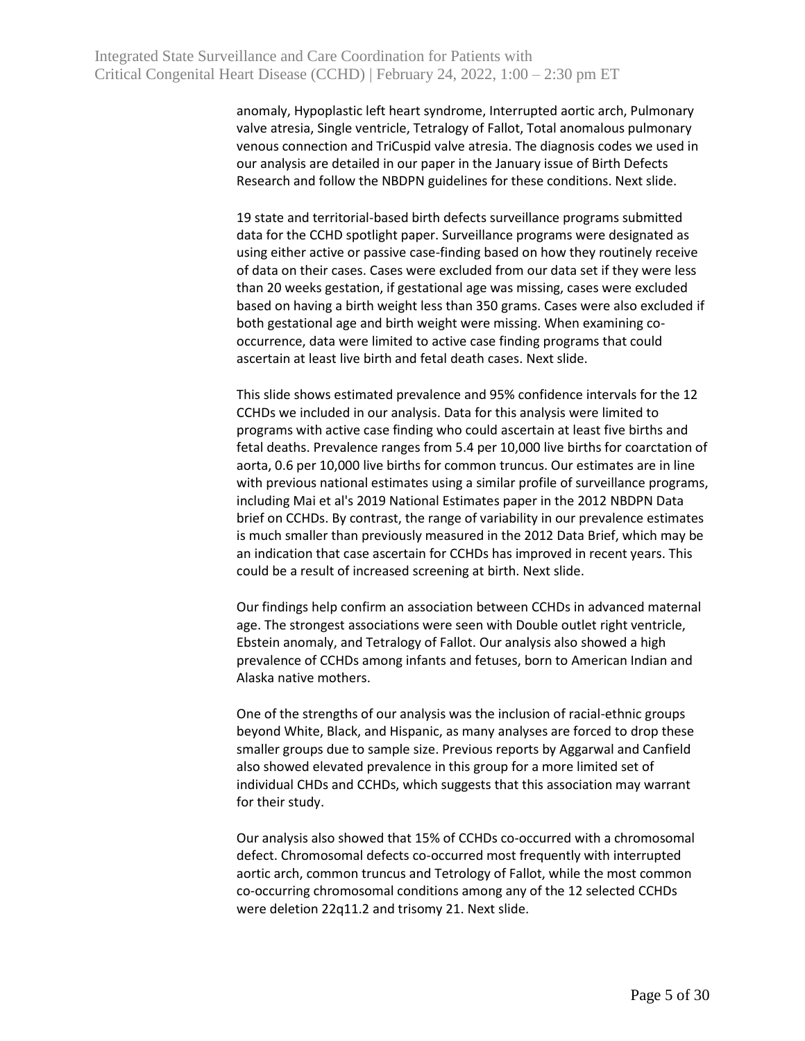anomaly, Hypoplastic left heart syndrome, Interrupted aortic arch, Pulmonary valve atresia, Single ventricle, Tetralogy of Fallot, Total anomalous pulmonary venous connection and TriCuspid valve atresia. The diagnosis codes we used in our analysis are detailed in our paper in the January issue of Birth Defects Research and follow the NBDPN guidelines for these conditions. Next slide.

19 state and territorial-based birth defects surveillance programs submitted data for the CCHD spotlight paper. Surveillance programs were designated as using either active or passive case-finding based on how they routinely receive of data on their cases. Cases were excluded from our data set if they were less than 20 weeks gestation, if gestational age was missing, cases were excluded based on having a birth weight less than 350 grams. Cases were also excluded if both gestational age and birth weight were missing. When examining cooccurrence, data were limited to active case finding programs that could ascertain at least live birth and fetal death cases. Next slide.

This slide shows estimated prevalence and 95% confidence intervals for the 12 CCHDs we included in our analysis. Data for this analysis were limited to programs with active case finding who could ascertain at least five births and fetal deaths. Prevalence ranges from 5.4 per 10,000 live births for coarctation of aorta, 0.6 per 10,000 live births for common truncus. Our estimates are in line with previous national estimates using a similar profile of surveillance programs, including Mai et al's 2019 National Estimates paper in the 2012 NBDPN Data brief on CCHDs. By contrast, the range of variability in our prevalence estimates is much smaller than previously measured in the 2012 Data Brief, which may be an indication that case ascertain for CCHDs has improved in recent years. This could be a result of increased screening at birth. Next slide.

Our findings help confirm an association between CCHDs in advanced maternal age. The strongest associations were seen with Double outlet right ventricle, Ebstein anomaly, and Tetralogy of Fallot. Our analysis also showed a high prevalence of CCHDs among infants and fetuses, born to American Indian and Alaska native mothers.

One of the strengths of our analysis was the inclusion of racial-ethnic groups beyond White, Black, and Hispanic, as many analyses are forced to drop these smaller groups due to sample size. Previous reports by Aggarwal and Canfield also showed elevated prevalence in this group for a more limited set of individual CHDs and CCHDs, which suggests that this association may warrant for their study.

Our analysis also showed that 15% of CCHDs co-occurred with a chromosomal defect. Chromosomal defects co-occurred most frequently with interrupted aortic arch, common truncus and Tetrology of Fallot, while the most common co-occurring chromosomal conditions among any of the 12 selected CCHDs were deletion 22q11.2 and trisomy 21. Next slide.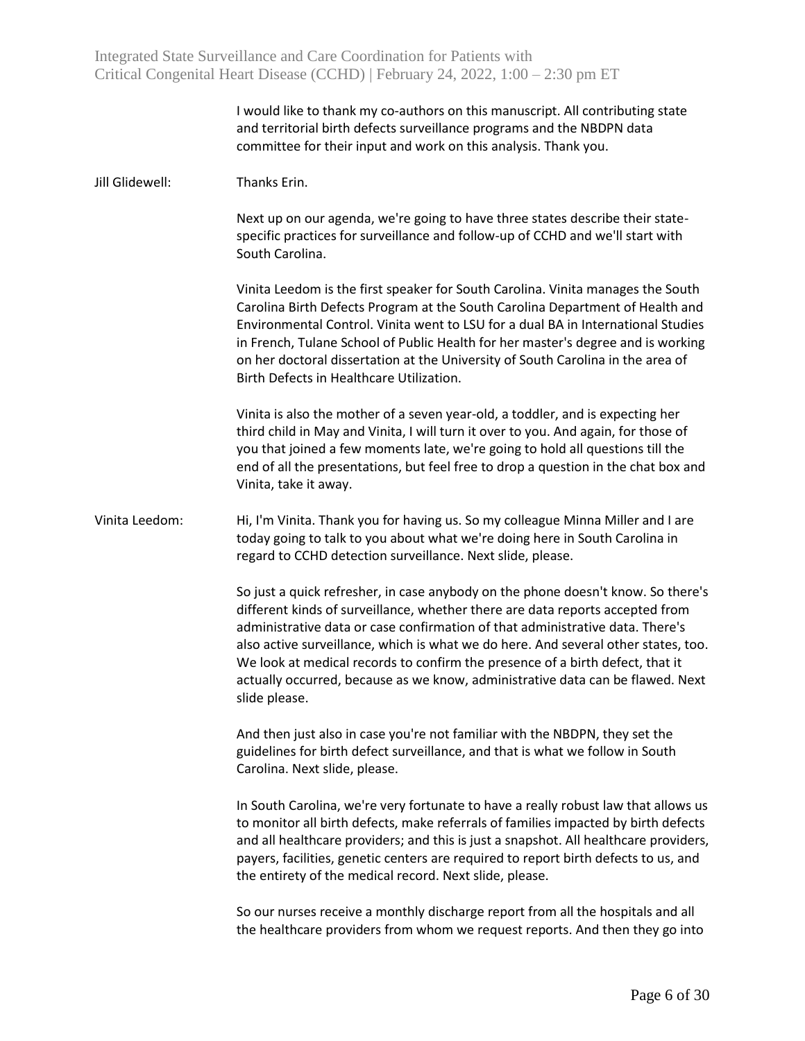|                 | I would like to thank my co-authors on this manuscript. All contributing state<br>and territorial birth defects surveillance programs and the NBDPN data<br>committee for their input and work on this analysis. Thank you.                                                                                                                                                                                                                                                                                                  |
|-----------------|------------------------------------------------------------------------------------------------------------------------------------------------------------------------------------------------------------------------------------------------------------------------------------------------------------------------------------------------------------------------------------------------------------------------------------------------------------------------------------------------------------------------------|
| Jill Glidewell: | Thanks Erin.                                                                                                                                                                                                                                                                                                                                                                                                                                                                                                                 |
|                 | Next up on our agenda, we're going to have three states describe their state-<br>specific practices for surveillance and follow-up of CCHD and we'll start with<br>South Carolina.                                                                                                                                                                                                                                                                                                                                           |
|                 | Vinita Leedom is the first speaker for South Carolina. Vinita manages the South<br>Carolina Birth Defects Program at the South Carolina Department of Health and<br>Environmental Control. Vinita went to LSU for a dual BA in International Studies<br>in French, Tulane School of Public Health for her master's degree and is working<br>on her doctoral dissertation at the University of South Carolina in the area of<br>Birth Defects in Healthcare Utilization.                                                      |
|                 | Vinita is also the mother of a seven year-old, a toddler, and is expecting her<br>third child in May and Vinita, I will turn it over to you. And again, for those of<br>you that joined a few moments late, we're going to hold all questions till the<br>end of all the presentations, but feel free to drop a question in the chat box and<br>Vinita, take it away.                                                                                                                                                        |
| Vinita Leedom:  | Hi, I'm Vinita. Thank you for having us. So my colleague Minna Miller and I are<br>today going to talk to you about what we're doing here in South Carolina in<br>regard to CCHD detection surveillance. Next slide, please.                                                                                                                                                                                                                                                                                                 |
|                 | So just a quick refresher, in case anybody on the phone doesn't know. So there's<br>different kinds of surveillance, whether there are data reports accepted from<br>administrative data or case confirmation of that administrative data. There's<br>also active surveillance, which is what we do here. And several other states, too.<br>We look at medical records to confirm the presence of a birth defect, that it<br>actually occurred, because as we know, administrative data can be flawed. Next<br>slide please. |
|                 | And then just also in case you're not familiar with the NBDPN, they set the<br>guidelines for birth defect surveillance, and that is what we follow in South<br>Carolina. Next slide, please.                                                                                                                                                                                                                                                                                                                                |
|                 | In South Carolina, we're very fortunate to have a really robust law that allows us<br>to monitor all birth defects, make referrals of families impacted by birth defects<br>and all healthcare providers; and this is just a snapshot. All healthcare providers,<br>payers, facilities, genetic centers are required to report birth defects to us, and<br>the entirety of the medical record. Next slide, please.                                                                                                           |
|                 | So our nurses receive a monthly discharge report from all the hospitals and all<br>the healthcare providers from whom we request reports. And then they go into                                                                                                                                                                                                                                                                                                                                                              |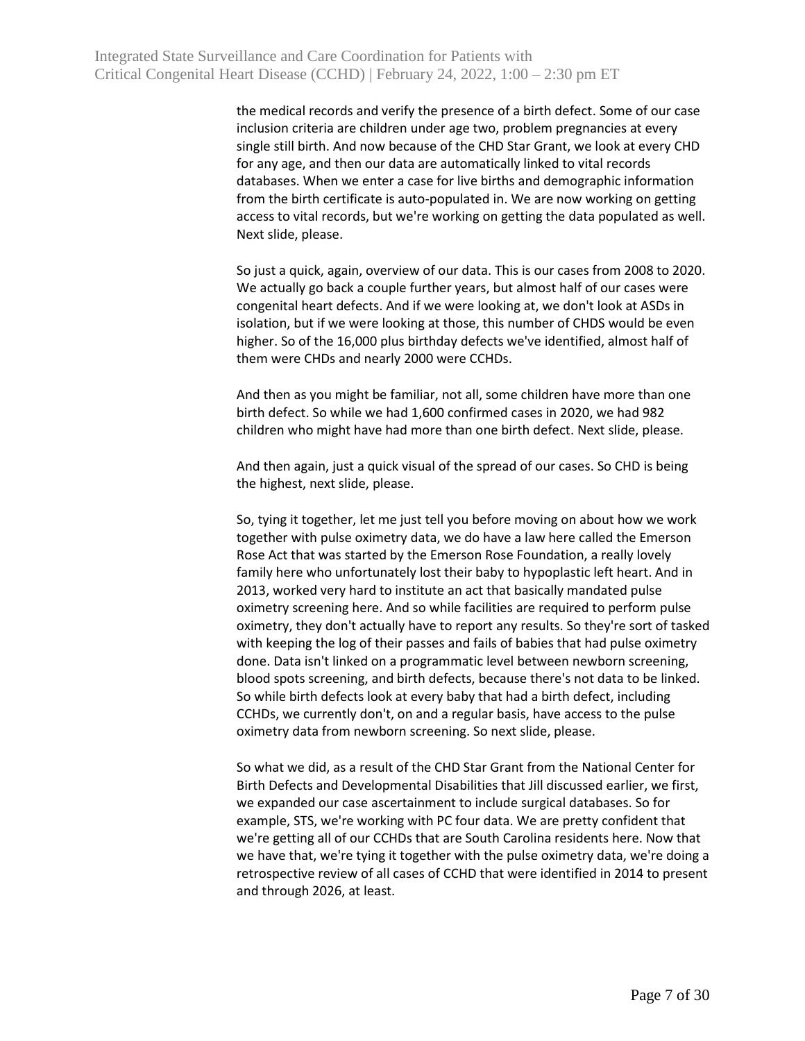the medical records and verify the presence of a birth defect. Some of our case inclusion criteria are children under age two, problem pregnancies at every single still birth. And now because of the CHD Star Grant, we look at every CHD for any age, and then our data are automatically linked to vital records databases. When we enter a case for live births and demographic information from the birth certificate is auto-populated in. We are now working on getting access to vital records, but we're working on getting the data populated as well. Next slide, please.

So just a quick, again, overview of our data. This is our cases from 2008 to 2020. We actually go back a couple further years, but almost half of our cases were congenital heart defects. And if we were looking at, we don't look at ASDs in isolation, but if we were looking at those, this number of CHDS would be even higher. So of the 16,000 plus birthday defects we've identified, almost half of them were CHDs and nearly 2000 were CCHDs.

And then as you might be familiar, not all, some children have more than one birth defect. So while we had 1,600 confirmed cases in 2020, we had 982 children who might have had more than one birth defect. Next slide, please.

And then again, just a quick visual of the spread of our cases. So CHD is being the highest, next slide, please.

So, tying it together, let me just tell you before moving on about how we work together with pulse oximetry data, we do have a law here called the Emerson Rose Act that was started by the Emerson Rose Foundation, a really lovely family here who unfortunately lost their baby to hypoplastic left heart. And in 2013, worked very hard to institute an act that basically mandated pulse oximetry screening here. And so while facilities are required to perform pulse oximetry, they don't actually have to report any results. So they're sort of tasked with keeping the log of their passes and fails of babies that had pulse oximetry done. Data isn't linked on a programmatic level between newborn screening, blood spots screening, and birth defects, because there's not data to be linked. So while birth defects look at every baby that had a birth defect, including CCHDs, we currently don't, on and a regular basis, have access to the pulse oximetry data from newborn screening. So next slide, please.

So what we did, as a result of the CHD Star Grant from the National Center for Birth Defects and Developmental Disabilities that Jill discussed earlier, we first, we expanded our case ascertainment to include surgical databases. So for example, STS, we're working with PC four data. We are pretty confident that we're getting all of our CCHDs that are South Carolina residents here. Now that we have that, we're tying it together with the pulse oximetry data, we're doing a retrospective review of all cases of CCHD that were identified in 2014 to present and through 2026, at least.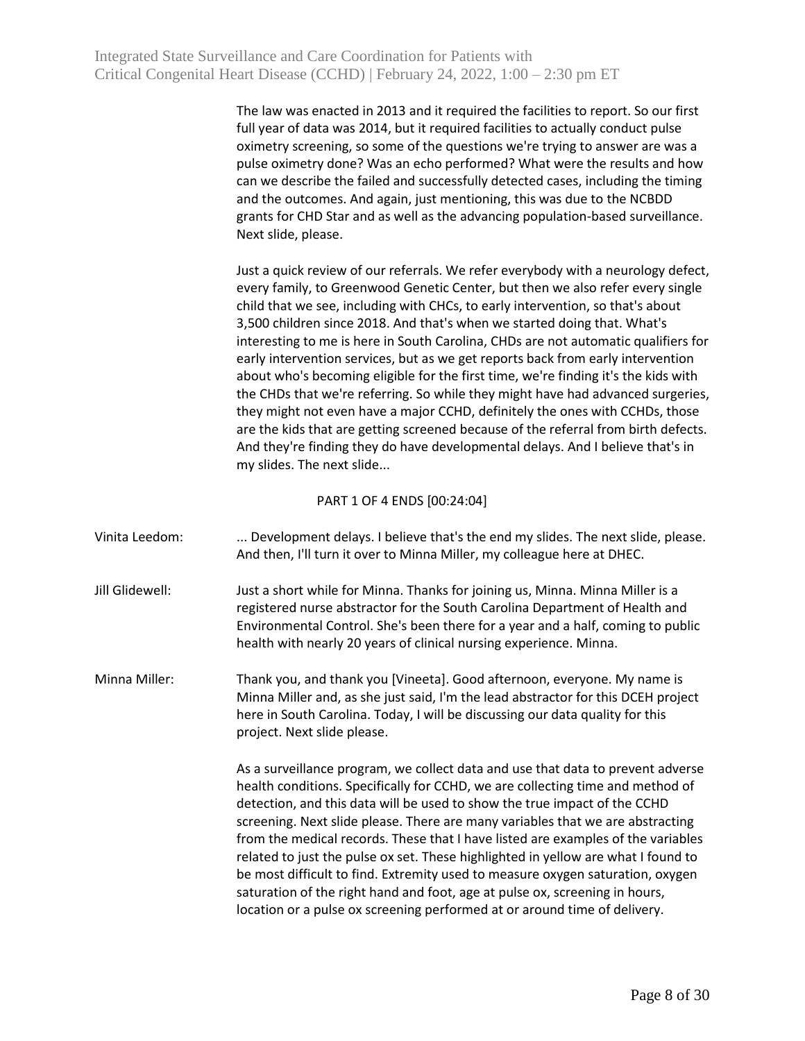The law was enacted in 2013 and it required the facilities to report. So our first full year of data was 2014, but it required facilities to actually conduct pulse oximetry screening, so some of the questions we're trying to answer are was a pulse oximetry done? Was an echo performed? What were the results and how can we describe the failed and successfully detected cases, including the timing and the outcomes. And again, just mentioning, this was due to the NCBDD grants for CHD Star and as well as the advancing population-based surveillance. Next slide, please.

Just a quick review of our referrals. We refer everybody with a neurology defect, every family, to Greenwood Genetic Center, but then we also refer every single child that we see, including with CHCs, to early intervention, so that's about 3,500 children since 2018. And that's when we started doing that. What's interesting to me is here in South Carolina, CHDs are not automatic qualifiers for early intervention services, but as we get reports back from early intervention about who's becoming eligible for the first time, we're finding it's the kids with the CHDs that we're referring. So while they might have had advanced surgeries, they might not even have a major CCHD, definitely the ones with CCHDs, those are the kids that are getting screened because of the referral from birth defects. And they're finding they do have developmental delays. And I believe that's in my slides. The next slide...

## PART 1 OF 4 ENDS [00:24:04]

| Vinita Leedom:  | Development delays. I believe that's the end my slides. The next slide, please.<br>And then, I'll turn it over to Minna Miller, my colleague here at DHEC.                                                                                                                                                                                                                                                                                                                                                                                                                                                                                                                                                                                              |
|-----------------|---------------------------------------------------------------------------------------------------------------------------------------------------------------------------------------------------------------------------------------------------------------------------------------------------------------------------------------------------------------------------------------------------------------------------------------------------------------------------------------------------------------------------------------------------------------------------------------------------------------------------------------------------------------------------------------------------------------------------------------------------------|
| Jill Glidewell: | Just a short while for Minna. Thanks for joining us, Minna. Minna Miller is a<br>registered nurse abstractor for the South Carolina Department of Health and<br>Environmental Control. She's been there for a year and a half, coming to public<br>health with nearly 20 years of clinical nursing experience. Minna.                                                                                                                                                                                                                                                                                                                                                                                                                                   |
| Minna Miller:   | Thank you, and thank you [Vineeta]. Good afternoon, everyone. My name is<br>Minna Miller and, as she just said, I'm the lead abstractor for this DCEH project<br>here in South Carolina. Today, I will be discussing our data quality for this<br>project. Next slide please.                                                                                                                                                                                                                                                                                                                                                                                                                                                                           |
|                 | As a surveillance program, we collect data and use that data to prevent adverse<br>health conditions. Specifically for CCHD, we are collecting time and method of<br>detection, and this data will be used to show the true impact of the CCHD<br>screening. Next slide please. There are many variables that we are abstracting<br>from the medical records. These that I have listed are examples of the variables<br>related to just the pulse ox set. These highlighted in yellow are what I found to<br>be most difficult to find. Extremity used to measure oxygen saturation, oxygen<br>saturation of the right hand and foot, age at pulse ox, screening in hours,<br>location or a pulse ox screening performed at or around time of delivery. |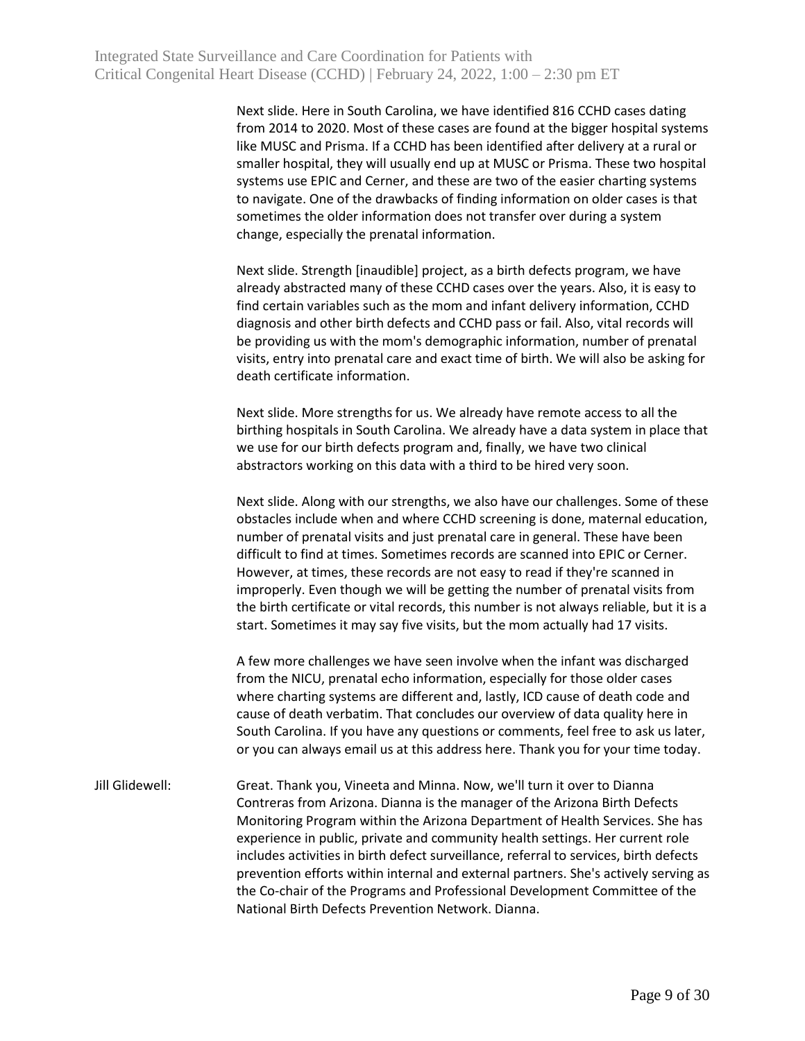Next slide. Here in South Carolina, we have identified 816 CCHD cases dating from 2014 to 2020. Most of these cases are found at the bigger hospital systems like MUSC and Prisma. If a CCHD has been identified after delivery at a rural or smaller hospital, they will usually end up at MUSC or Prisma. These two hospital systems use EPIC and Cerner, and these are two of the easier charting systems to navigate. One of the drawbacks of finding information on older cases is that sometimes the older information does not transfer over during a system change, especially the prenatal information.

Next slide. Strength [inaudible] project, as a birth defects program, we have already abstracted many of these CCHD cases over the years. Also, it is easy to find certain variables such as the mom and infant delivery information, CCHD diagnosis and other birth defects and CCHD pass or fail. Also, vital records will be providing us with the mom's demographic information, number of prenatal visits, entry into prenatal care and exact time of birth. We will also be asking for death certificate information.

Next slide. More strengths for us. We already have remote access to all the birthing hospitals in South Carolina. We already have a data system in place that we use for our birth defects program and, finally, we have two clinical abstractors working on this data with a third to be hired very soon.

Next slide. Along with our strengths, we also have our challenges. Some of these obstacles include when and where CCHD screening is done, maternal education, number of prenatal visits and just prenatal care in general. These have been difficult to find at times. Sometimes records are scanned into EPIC or Cerner. However, at times, these records are not easy to read if they're scanned in improperly. Even though we will be getting the number of prenatal visits from the birth certificate or vital records, this number is not always reliable, but it is a start. Sometimes it may say five visits, but the mom actually had 17 visits.

A few more challenges we have seen involve when the infant was discharged from the NICU, prenatal echo information, especially for those older cases where charting systems are different and, lastly, ICD cause of death code and cause of death verbatim. That concludes our overview of data quality here in South Carolina. If you have any questions or comments, feel free to ask us later, or you can always email us at this address here. Thank you for your time today.

Jill Glidewell: Great. Thank you, Vineeta and Minna. Now, we'll turn it over to Dianna Contreras from Arizona. Dianna is the manager of the Arizona Birth Defects Monitoring Program within the Arizona Department of Health Services. She has experience in public, private and community health settings. Her current role includes activities in birth defect surveillance, referral to services, birth defects prevention efforts within internal and external partners. She's actively serving as the Co-chair of the Programs and Professional Development Committee of the National Birth Defects Prevention Network. Dianna.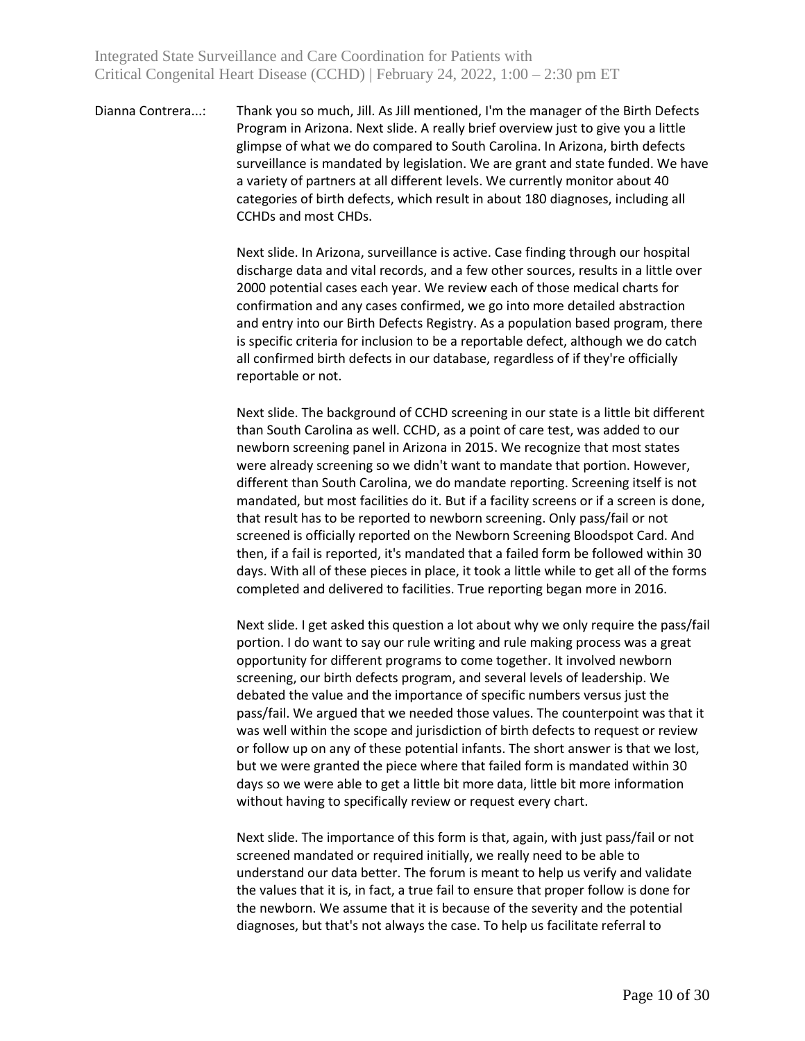Dianna Contrera...: Thank you so much, Jill. As Jill mentioned, I'm the manager of the Birth Defects Program in Arizona. Next slide. A really brief overview just to give you a little glimpse of what we do compared to South Carolina. In Arizona, birth defects surveillance is mandated by legislation. We are grant and state funded. We have a variety of partners at all different levels. We currently monitor about 40 categories of birth defects, which result in about 180 diagnoses, including all CCHDs and most CHDs.

> Next slide. In Arizona, surveillance is active. Case finding through our hospital discharge data and vital records, and a few other sources, results in a little over 2000 potential cases each year. We review each of those medical charts for confirmation and any cases confirmed, we go into more detailed abstraction and entry into our Birth Defects Registry. As a population based program, there is specific criteria for inclusion to be a reportable defect, although we do catch all confirmed birth defects in our database, regardless of if they're officially reportable or not.

> Next slide. The background of CCHD screening in our state is a little bit different than South Carolina as well. CCHD, as a point of care test, was added to our newborn screening panel in Arizona in 2015. We recognize that most states were already screening so we didn't want to mandate that portion. However, different than South Carolina, we do mandate reporting. Screening itself is not mandated, but most facilities do it. But if a facility screens or if a screen is done, that result has to be reported to newborn screening. Only pass/fail or not screened is officially reported on the Newborn Screening Bloodspot Card. And then, if a fail is reported, it's mandated that a failed form be followed within 30 days. With all of these pieces in place, it took a little while to get all of the forms completed and delivered to facilities. True reporting began more in 2016.

> Next slide. I get asked this question a lot about why we only require the pass/fail portion. I do want to say our rule writing and rule making process was a great opportunity for different programs to come together. It involved newborn screening, our birth defects program, and several levels of leadership. We debated the value and the importance of specific numbers versus just the pass/fail. We argued that we needed those values. The counterpoint was that it was well within the scope and jurisdiction of birth defects to request or review or follow up on any of these potential infants. The short answer is that we lost, but we were granted the piece where that failed form is mandated within 30 days so we were able to get a little bit more data, little bit more information without having to specifically review or request every chart.

Next slide. The importance of this form is that, again, with just pass/fail or not screened mandated or required initially, we really need to be able to understand our data better. The forum is meant to help us verify and validate the values that it is, in fact, a true fail to ensure that proper follow is done for the newborn. We assume that it is because of the severity and the potential diagnoses, but that's not always the case. To help us facilitate referral to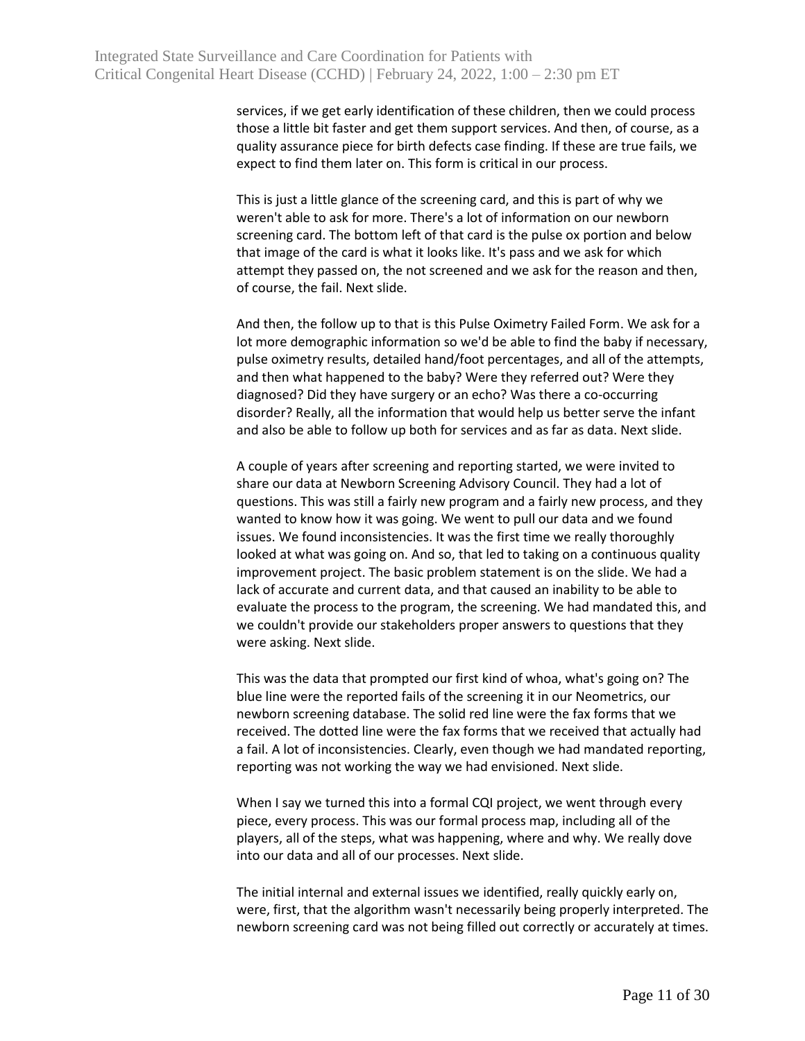services, if we get early identification of these children, then we could process those a little bit faster and get them support services. And then, of course, as a quality assurance piece for birth defects case finding. If these are true fails, we expect to find them later on. This form is critical in our process.

This is just a little glance of the screening card, and this is part of why we weren't able to ask for more. There's a lot of information on our newborn screening card. The bottom left of that card is the pulse ox portion and below that image of the card is what it looks like. It's pass and we ask for which attempt they passed on, the not screened and we ask for the reason and then, of course, the fail. Next slide.

And then, the follow up to that is this Pulse Oximetry Failed Form. We ask for a lot more demographic information so we'd be able to find the baby if necessary, pulse oximetry results, detailed hand/foot percentages, and all of the attempts, and then what happened to the baby? Were they referred out? Were they diagnosed? Did they have surgery or an echo? Was there a co-occurring disorder? Really, all the information that would help us better serve the infant and also be able to follow up both for services and as far as data. Next slide.

A couple of years after screening and reporting started, we were invited to share our data at Newborn Screening Advisory Council. They had a lot of questions. This was still a fairly new program and a fairly new process, and they wanted to know how it was going. We went to pull our data and we found issues. We found inconsistencies. It was the first time we really thoroughly looked at what was going on. And so, that led to taking on a continuous quality improvement project. The basic problem statement is on the slide. We had a lack of accurate and current data, and that caused an inability to be able to evaluate the process to the program, the screening. We had mandated this, and we couldn't provide our stakeholders proper answers to questions that they were asking. Next slide.

This was the data that prompted our first kind of whoa, what's going on? The blue line were the reported fails of the screening it in our Neometrics, our newborn screening database. The solid red line were the fax forms that we received. The dotted line were the fax forms that we received that actually had a fail. A lot of inconsistencies. Clearly, even though we had mandated reporting, reporting was not working the way we had envisioned. Next slide.

When I say we turned this into a formal CQI project, we went through every piece, every process. This was our formal process map, including all of the players, all of the steps, what was happening, where and why. We really dove into our data and all of our processes. Next slide.

The initial internal and external issues we identified, really quickly early on, were, first, that the algorithm wasn't necessarily being properly interpreted. The newborn screening card was not being filled out correctly or accurately at times.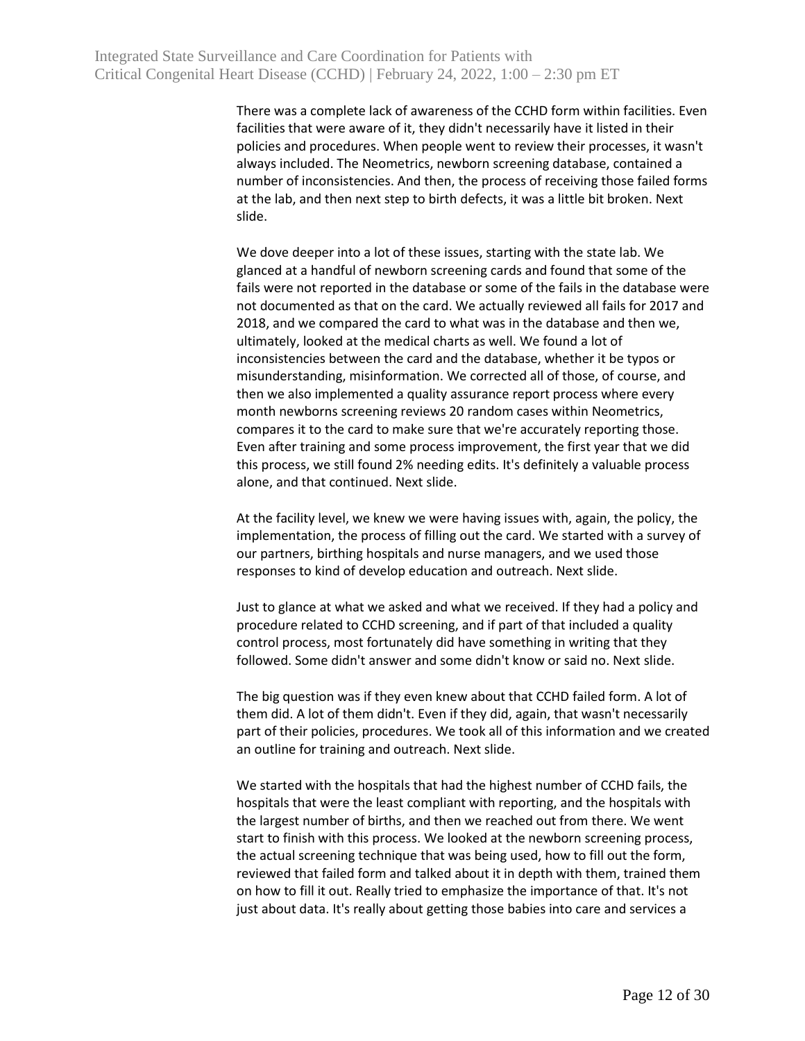There was a complete lack of awareness of the CCHD form within facilities. Even facilities that were aware of it, they didn't necessarily have it listed in their policies and procedures. When people went to review their processes, it wasn't always included. The Neometrics, newborn screening database, contained a number of inconsistencies. And then, the process of receiving those failed forms at the lab, and then next step to birth defects, it was a little bit broken. Next slide.

We dove deeper into a lot of these issues, starting with the state lab. We glanced at a handful of newborn screening cards and found that some of the fails were not reported in the database or some of the fails in the database were not documented as that on the card. We actually reviewed all fails for 2017 and 2018, and we compared the card to what was in the database and then we, ultimately, looked at the medical charts as well. We found a lot of inconsistencies between the card and the database, whether it be typos or misunderstanding, misinformation. We corrected all of those, of course, and then we also implemented a quality assurance report process where every month newborns screening reviews 20 random cases within Neometrics, compares it to the card to make sure that we're accurately reporting those. Even after training and some process improvement, the first year that we did this process, we still found 2% needing edits. It's definitely a valuable process alone, and that continued. Next slide.

At the facility level, we knew we were having issues with, again, the policy, the implementation, the process of filling out the card. We started with a survey of our partners, birthing hospitals and nurse managers, and we used those responses to kind of develop education and outreach. Next slide.

Just to glance at what we asked and what we received. If they had a policy and procedure related to CCHD screening, and if part of that included a quality control process, most fortunately did have something in writing that they followed. Some didn't answer and some didn't know or said no. Next slide.

The big question was if they even knew about that CCHD failed form. A lot of them did. A lot of them didn't. Even if they did, again, that wasn't necessarily part of their policies, procedures. We took all of this information and we created an outline for training and outreach. Next slide.

We started with the hospitals that had the highest number of CCHD fails, the hospitals that were the least compliant with reporting, and the hospitals with the largest number of births, and then we reached out from there. We went start to finish with this process. We looked at the newborn screening process, the actual screening technique that was being used, how to fill out the form, reviewed that failed form and talked about it in depth with them, trained them on how to fill it out. Really tried to emphasize the importance of that. It's not just about data. It's really about getting those babies into care and services a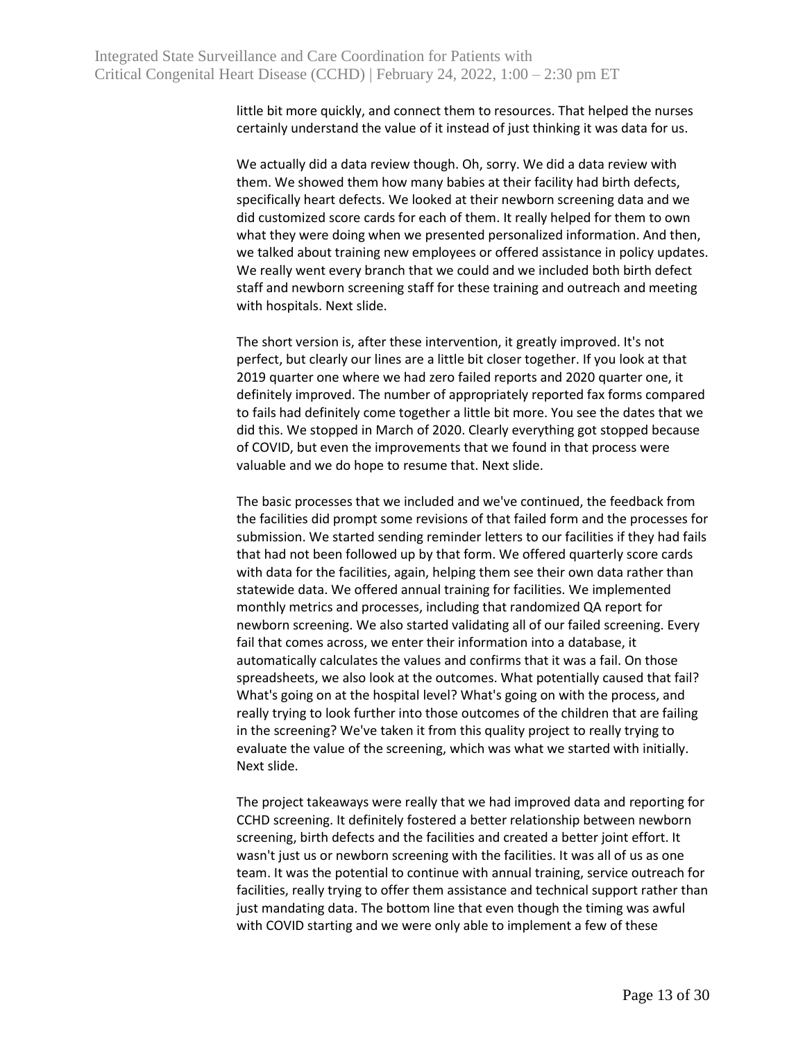little bit more quickly, and connect them to resources. That helped the nurses certainly understand the value of it instead of just thinking it was data for us.

We actually did a data review though. Oh, sorry. We did a data review with them. We showed them how many babies at their facility had birth defects, specifically heart defects. We looked at their newborn screening data and we did customized score cards for each of them. It really helped for them to own what they were doing when we presented personalized information. And then, we talked about training new employees or offered assistance in policy updates. We really went every branch that we could and we included both birth defect staff and newborn screening staff for these training and outreach and meeting with hospitals. Next slide.

The short version is, after these intervention, it greatly improved. It's not perfect, but clearly our lines are a little bit closer together. If you look at that 2019 quarter one where we had zero failed reports and 2020 quarter one, it definitely improved. The number of appropriately reported fax forms compared to fails had definitely come together a little bit more. You see the dates that we did this. We stopped in March of 2020. Clearly everything got stopped because of COVID, but even the improvements that we found in that process were valuable and we do hope to resume that. Next slide.

The basic processes that we included and we've continued, the feedback from the facilities did prompt some revisions of that failed form and the processes for submission. We started sending reminder letters to our facilities if they had fails that had not been followed up by that form. We offered quarterly score cards with data for the facilities, again, helping them see their own data rather than statewide data. We offered annual training for facilities. We implemented monthly metrics and processes, including that randomized QA report for newborn screening. We also started validating all of our failed screening. Every fail that comes across, we enter their information into a database, it automatically calculates the values and confirms that it was a fail. On those spreadsheets, we also look at the outcomes. What potentially caused that fail? What's going on at the hospital level? What's going on with the process, and really trying to look further into those outcomes of the children that are failing in the screening? We've taken it from this quality project to really trying to evaluate the value of the screening, which was what we started with initially. Next slide.

The project takeaways were really that we had improved data and reporting for CCHD screening. It definitely fostered a better relationship between newborn screening, birth defects and the facilities and created a better joint effort. It wasn't just us or newborn screening with the facilities. It was all of us as one team. It was the potential to continue with annual training, service outreach for facilities, really trying to offer them assistance and technical support rather than just mandating data. The bottom line that even though the timing was awful with COVID starting and we were only able to implement a few of these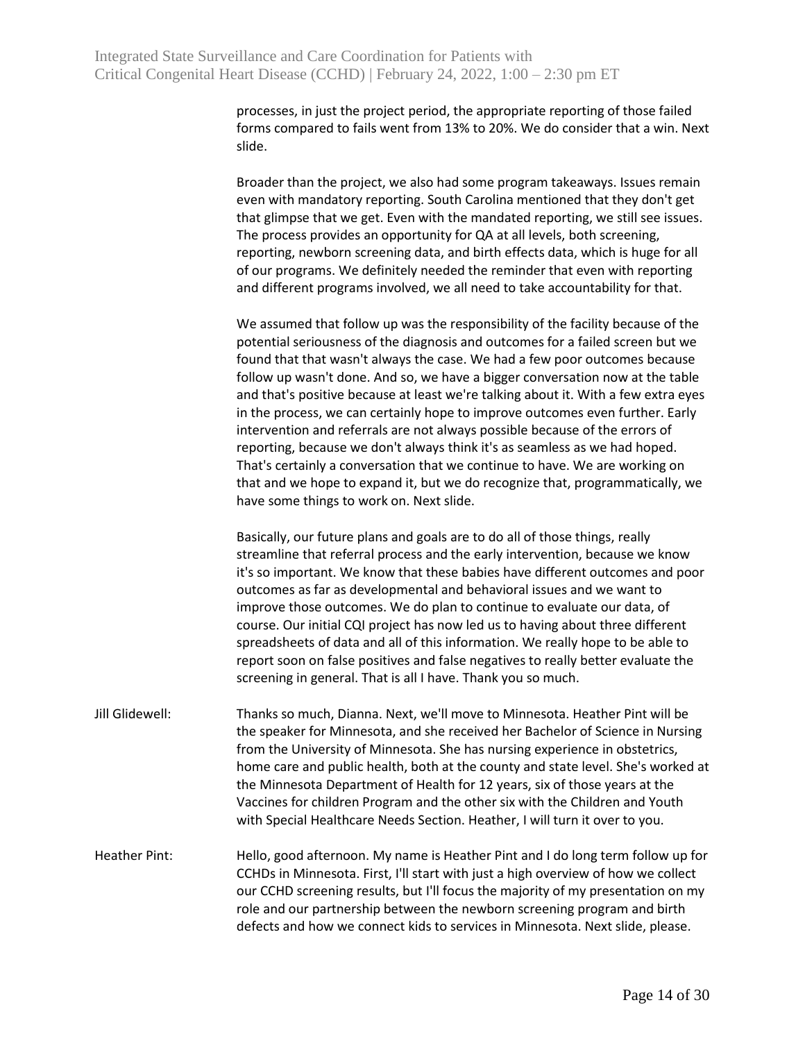processes, in just the project period, the appropriate reporting of those failed forms compared to fails went from 13% to 20%. We do consider that a win. Next slide.

Broader than the project, we also had some program takeaways. Issues remain even with mandatory reporting. South Carolina mentioned that they don't get that glimpse that we get. Even with the mandated reporting, we still see issues. The process provides an opportunity for QA at all levels, both screening, reporting, newborn screening data, and birth effects data, which is huge for all of our programs. We definitely needed the reminder that even with reporting and different programs involved, we all need to take accountability for that.

We assumed that follow up was the responsibility of the facility because of the potential seriousness of the diagnosis and outcomes for a failed screen but we found that that wasn't always the case. We had a few poor outcomes because follow up wasn't done. And so, we have a bigger conversation now at the table and that's positive because at least we're talking about it. With a few extra eyes in the process, we can certainly hope to improve outcomes even further. Early intervention and referrals are not always possible because of the errors of reporting, because we don't always think it's as seamless as we had hoped. That's certainly a conversation that we continue to have. We are working on that and we hope to expand it, but we do recognize that, programmatically, we have some things to work on. Next slide.

Basically, our future plans and goals are to do all of those things, really streamline that referral process and the early intervention, because we know it's so important. We know that these babies have different outcomes and poor outcomes as far as developmental and behavioral issues and we want to improve those outcomes. We do plan to continue to evaluate our data, of course. Our initial CQI project has now led us to having about three different spreadsheets of data and all of this information. We really hope to be able to report soon on false positives and false negatives to really better evaluate the screening in general. That is all I have. Thank you so much.

Jill Glidewell: Thanks so much, Dianna. Next, we'll move to Minnesota. Heather Pint will be the speaker for Minnesota, and she received her Bachelor of Science in Nursing from the University of Minnesota. She has nursing experience in obstetrics, home care and public health, both at the county and state level. She's worked at the Minnesota Department of Health for 12 years, six of those years at the Vaccines for children Program and the other six with the Children and Youth with Special Healthcare Needs Section. Heather, I will turn it over to you.

Heather Pint: Hello, good afternoon. My name is Heather Pint and I do long term follow up for CCHDs in Minnesota. First, I'll start with just a high overview of how we collect our CCHD screening results, but I'll focus the majority of my presentation on my role and our partnership between the newborn screening program and birth defects and how we connect kids to services in Minnesota. Next slide, please.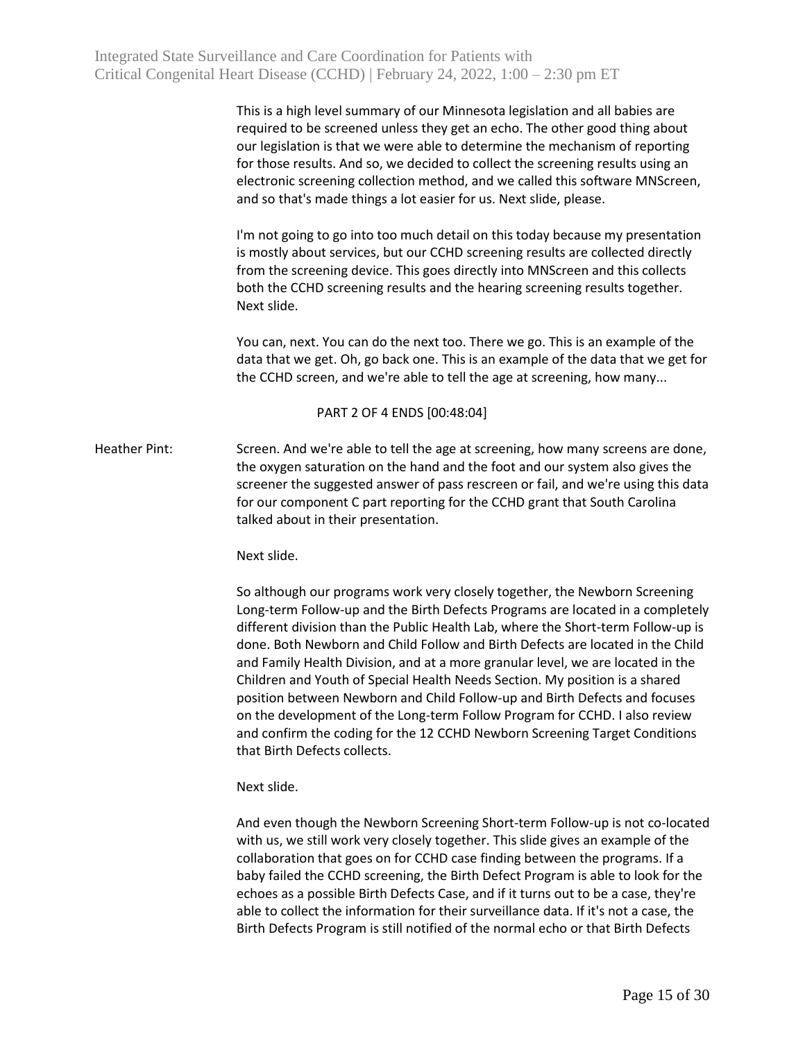This is a high level summary of our Minnesota legislation and all babies are required to be screened unless they get an echo. The other good thing about our legislation is that we were able to determine the mechanism of reporting for those results. And so, we decided to collect the screening results using an electronic screening collection method, and we called this software MNScreen, and so that's made things a lot easier for us. Next slide, please.

I'm not going to go into too much detail on this today because my presentation is mostly about services, but our CCHD screening results are collected directly from the screening device. This goes directly into MNScreen and this collects both the CCHD screening results and the hearing screening results together. Next slide.

You can, next. You can do the next too. There we go. This is an example of the data that we get. Oh, go back one. This is an example of the data that we get for the CCHD screen, and we're able to tell the age at screening, how many...

## PART 2 OF 4 ENDS [00:48:04]

Heather Pint: Screen. And we're able to tell the age at screening, how many screens are done, the oxygen saturation on the hand and the foot and our system also gives the screener the suggested answer of pass rescreen or fail, and we're using this data for our component C part reporting for the CCHD grant that South Carolina talked about in their presentation.

## Next slide.

So although our programs work very closely together, the Newborn Screening Long-term Follow-up and the Birth Defects Programs are located in a completely different division than the Public Health Lab, where the Short-term Follow-up is done. Both Newborn and Child Follow and Birth Defects are located in the Child and Family Health Division, and at a more granular level, we are located in the Children and Youth of Special Health Needs Section. My position is a shared position between Newborn and Child Follow-up and Birth Defects and focuses on the development of the Long-term Follow Program for CCHD. I also review and confirm the coding for the 12 CCHD Newborn Screening Target Conditions that Birth Defects collects.

## Next slide.

And even though the Newborn Screening Short-term Follow-up is not co-located with us, we still work very closely together. This slide gives an example of the collaboration that goes on for CCHD case finding between the programs. If a baby failed the CCHD screening, the Birth Defect Program is able to look for the echoes as a possible Birth Defects Case, and if it turns out to be a case, they're able to collect the information for their surveillance data. If it's not a case, the Birth Defects Program is still notified of the normal echo or that Birth Defects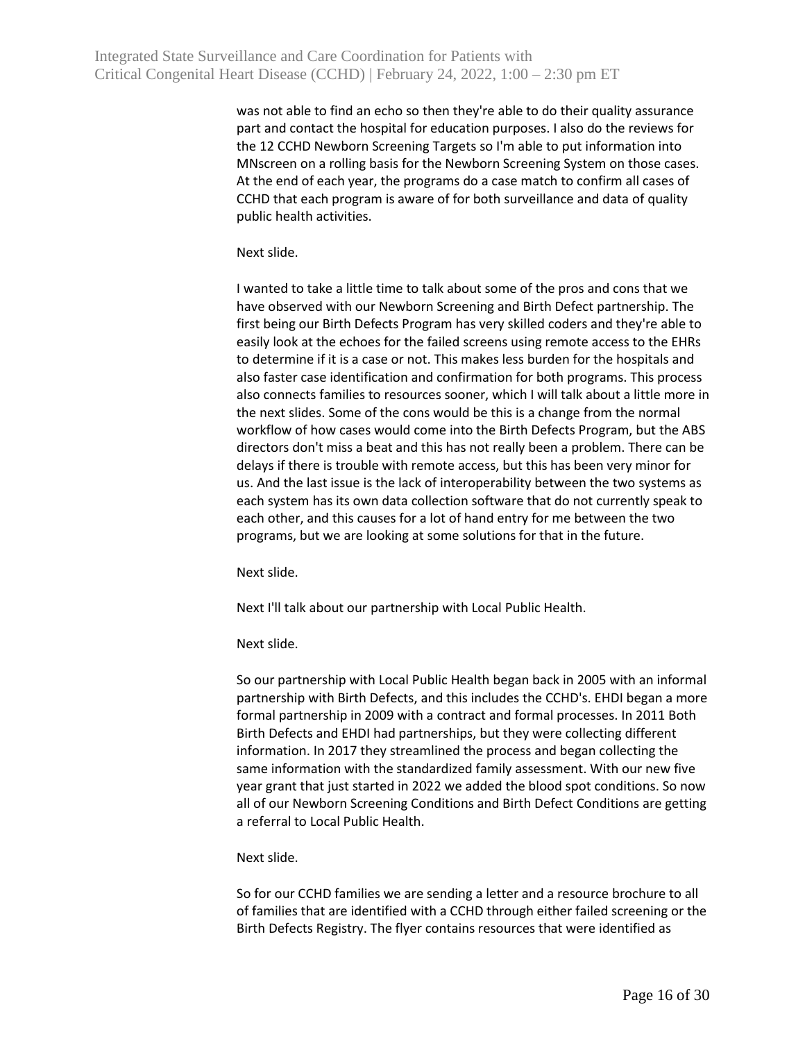was not able to find an echo so then they're able to do their quality assurance part and contact the hospital for education purposes. I also do the reviews for the 12 CCHD Newborn Screening Targets so I'm able to put information into MNscreen on a rolling basis for the Newborn Screening System on those cases. At the end of each year, the programs do a case match to confirm all cases of CCHD that each program is aware of for both surveillance and data of quality public health activities.

Next slide.

I wanted to take a little time to talk about some of the pros and cons that we have observed with our Newborn Screening and Birth Defect partnership. The first being our Birth Defects Program has very skilled coders and they're able to easily look at the echoes for the failed screens using remote access to the EHRs to determine if it is a case or not. This makes less burden for the hospitals and also faster case identification and confirmation for both programs. This process also connects families to resources sooner, which I will talk about a little more in the next slides. Some of the cons would be this is a change from the normal workflow of how cases would come into the Birth Defects Program, but the ABS directors don't miss a beat and this has not really been a problem. There can be delays if there is trouble with remote access, but this has been very minor for us. And the last issue is the lack of interoperability between the two systems as each system has its own data collection software that do not currently speak to each other, and this causes for a lot of hand entry for me between the two programs, but we are looking at some solutions for that in the future.

Next slide.

Next I'll talk about our partnership with Local Public Health.

Next slide.

So our partnership with Local Public Health began back in 2005 with an informal partnership with Birth Defects, and this includes the CCHD's. EHDI began a more formal partnership in 2009 with a contract and formal processes. In 2011 Both Birth Defects and EHDI had partnerships, but they were collecting different information. In 2017 they streamlined the process and began collecting the same information with the standardized family assessment. With our new five year grant that just started in 2022 we added the blood spot conditions. So now all of our Newborn Screening Conditions and Birth Defect Conditions are getting a referral to Local Public Health.

## Next slide.

So for our CCHD families we are sending a letter and a resource brochure to all of families that are identified with a CCHD through either failed screening or the Birth Defects Registry. The flyer contains resources that were identified as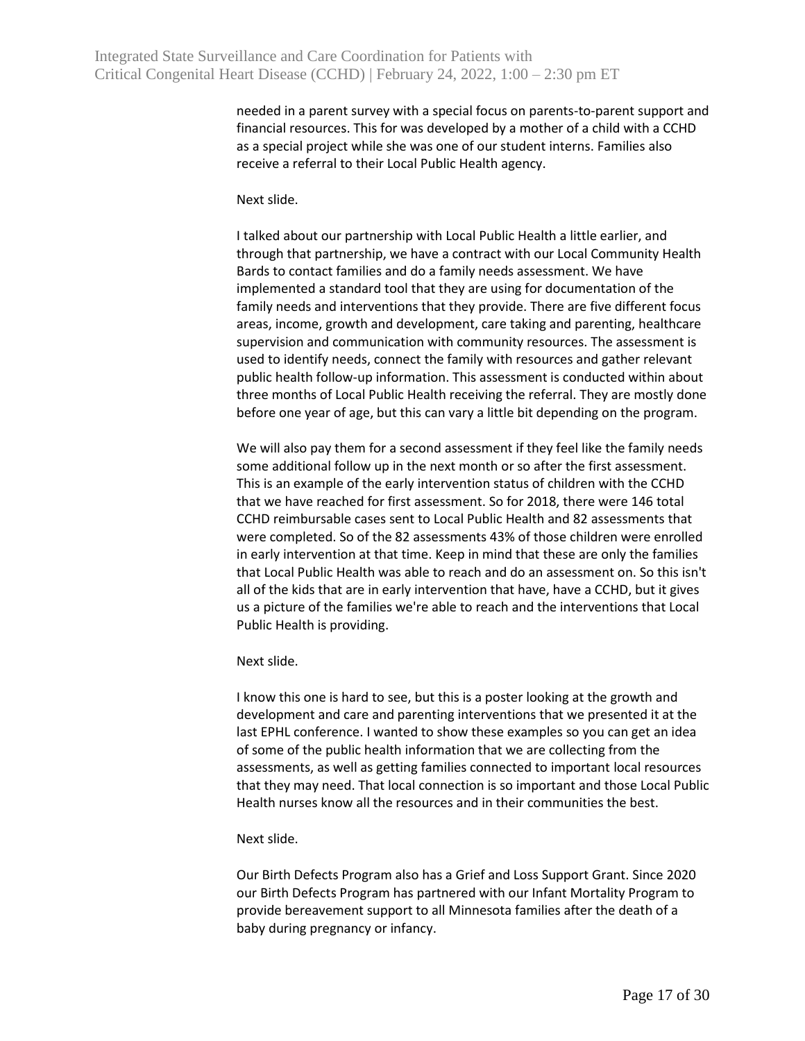needed in a parent survey with a special focus on parents-to-parent support and financial resources. This for was developed by a mother of a child with a CCHD as a special project while she was one of our student interns. Families also receive a referral to their Local Public Health agency.

Next slide.

I talked about our partnership with Local Public Health a little earlier, and through that partnership, we have a contract with our Local Community Health Bards to contact families and do a family needs assessment. We have implemented a standard tool that they are using for documentation of the family needs and interventions that they provide. There are five different focus areas, income, growth and development, care taking and parenting, healthcare supervision and communication with community resources. The assessment is used to identify needs, connect the family with resources and gather relevant public health follow-up information. This assessment is conducted within about three months of Local Public Health receiving the referral. They are mostly done before one year of age, but this can vary a little bit depending on the program.

We will also pay them for a second assessment if they feel like the family needs some additional follow up in the next month or so after the first assessment. This is an example of the early intervention status of children with the CCHD that we have reached for first assessment. So for 2018, there were 146 total CCHD reimbursable cases sent to Local Public Health and 82 assessments that were completed. So of the 82 assessments 43% of those children were enrolled in early intervention at that time. Keep in mind that these are only the families that Local Public Health was able to reach and do an assessment on. So this isn't all of the kids that are in early intervention that have, have a CCHD, but it gives us a picture of the families we're able to reach and the interventions that Local Public Health is providing.

Next slide.

I know this one is hard to see, but this is a poster looking at the growth and development and care and parenting interventions that we presented it at the last EPHL conference. I wanted to show these examples so you can get an idea of some of the public health information that we are collecting from the assessments, as well as getting families connected to important local resources that they may need. That local connection is so important and those Local Public Health nurses know all the resources and in their communities the best.

# Next slide.

Our Birth Defects Program also has a Grief and Loss Support Grant. Since 2020 our Birth Defects Program has partnered with our Infant Mortality Program to provide bereavement support to all Minnesota families after the death of a baby during pregnancy or infancy.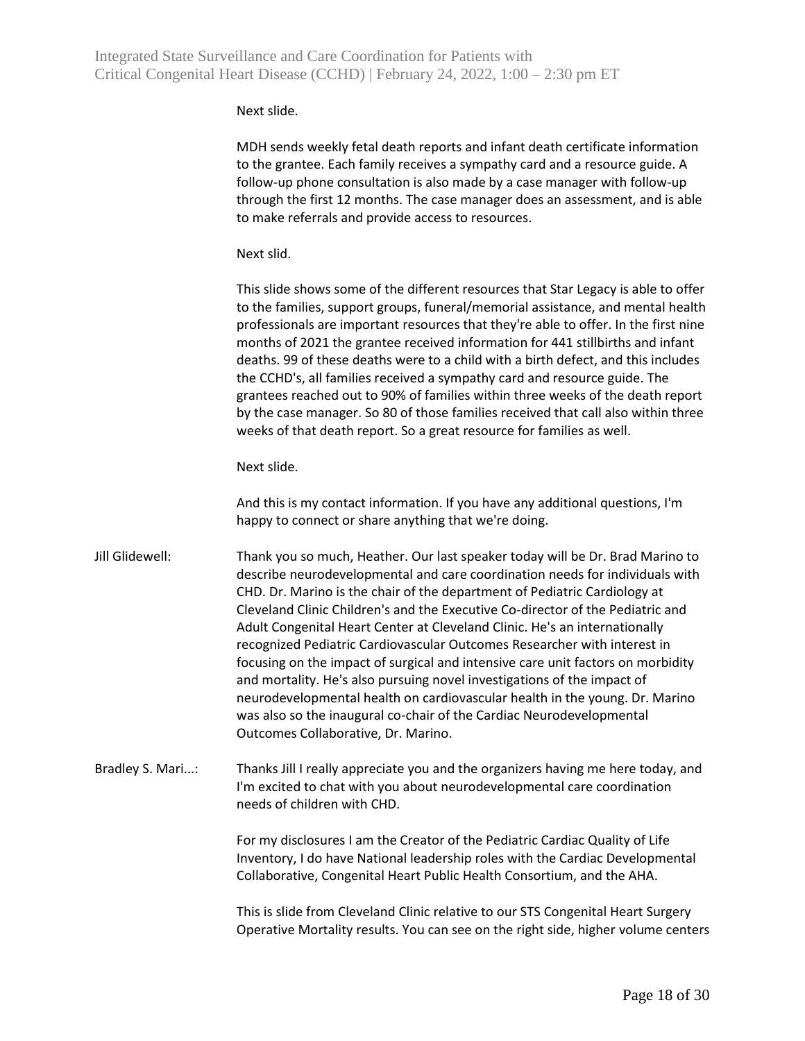Next slide.

MDH sends weekly fetal death reports and infant death certificate information to the grantee. Each family receives a sympathy card and a resource guide. A follow-up phone consultation is also made by a case manager with follow-up through the first 12 months. The case manager does an assessment, and is able to make referrals and provide access to resources.

Next slid.

This slide shows some of the different resources that Star Legacy is able to offer to the families, support groups, funeral/memorial assistance, and mental health professionals are important resources that they're able to offer. In the first nine months of 2021 the grantee received information for 441 stillbirths and infant deaths. 99 of these deaths were to a child with a birth defect, and this includes the CCHD's, all families received a sympathy card and resource guide. The grantees reached out to 90% of families within three weeks of the death report by the case manager. So 80 of those families received that call also within three weeks of that death report. So a great resource for families as well.

Next slide.

And this is my contact information. If you have any additional questions, I'm happy to connect or share anything that we're doing.

Jill Glidewell: Thank you so much, Heather. Our last speaker today will be Dr. Brad Marino to describe neurodevelopmental and care coordination needs for individuals with CHD. Dr. Marino is the chair of the department of Pediatric Cardiology at Cleveland Clinic Children's and the Executive Co-director of the Pediatric and Adult Congenital Heart Center at Cleveland Clinic. He's an internationally recognized Pediatric Cardiovascular Outcomes Researcher with interest in focusing on the impact of surgical and intensive care unit factors on morbidity and mortality. He's also pursuing novel investigations of the impact of neurodevelopmental health on cardiovascular health in the young. Dr. Marino was also so the inaugural co-chair of the Cardiac Neurodevelopmental Outcomes Collaborative, Dr. Marino.

Bradley S. Mari...: Thanks Jill I really appreciate you and the organizers having me here today, and I'm excited to chat with you about neurodevelopmental care coordination needs of children with CHD.

> For my disclosures I am the Creator of the Pediatric Cardiac Quality of Life Inventory, I do have National leadership roles with the Cardiac Developmental Collaborative, Congenital Heart Public Health Consortium, and the AHA.

This is slide from Cleveland Clinic relative to our STS Congenital Heart Surgery Operative Mortality results. You can see on the right side, higher volume centers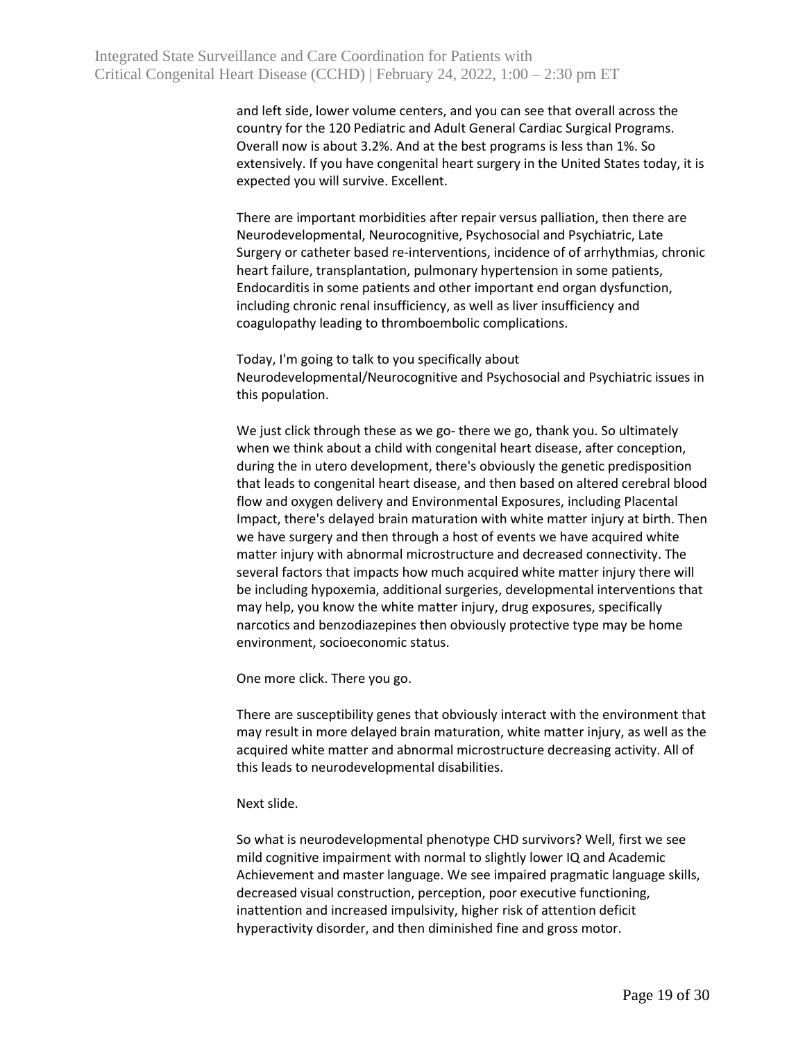and left side, lower volume centers, and you can see that overall across the country for the 120 Pediatric and Adult General Cardiac Surgical Programs. Overall now is about 3.2%. And at the best programs is less than 1%. So extensively. If you have congenital heart surgery in the United States today, it is expected you will survive. Excellent.

There are important morbidities after repair versus palliation, then there are Neurodevelopmental, Neurocognitive, Psychosocial and Psychiatric, Late Surgery or catheter based re-interventions, incidence of of arrhythmias, chronic heart failure, transplantation, pulmonary hypertension in some patients, Endocarditis in some patients and other important end organ dysfunction, including chronic renal insufficiency, as well as liver insufficiency and coagulopathy leading to thromboembolic complications.

Today, I'm going to talk to you specifically about Neurodevelopmental/Neurocognitive and Psychosocial and Psychiatric issues in this population.

We just click through these as we go- there we go, thank you. So ultimately when we think about a child with congenital heart disease, after conception, during the in utero development, there's obviously the genetic predisposition that leads to congenital heart disease, and then based on altered cerebral blood flow and oxygen delivery and Environmental Exposures, including Placental Impact, there's delayed brain maturation with white matter injury at birth. Then we have surgery and then through a host of events we have acquired white matter injury with abnormal microstructure and decreased connectivity. The several factors that impacts how much acquired white matter injury there will be including hypoxemia, additional surgeries, developmental interventions that may help, you know the white matter injury, drug exposures, specifically narcotics and benzodiazepines then obviously protective type may be home environment, socioeconomic status.

One more click. There you go.

There are susceptibility genes that obviously interact with the environment that may result in more delayed brain maturation, white matter injury, as well as the acquired white matter and abnormal microstructure decreasing activity. All of this leads to neurodevelopmental disabilities.

Next slide.

So what is neurodevelopmental phenotype CHD survivors? Well, first we see mild cognitive impairment with normal to slightly lower IQ and Academic Achievement and master language. We see impaired pragmatic language skills, decreased visual construction, perception, poor executive functioning, inattention and increased impulsivity, higher risk of attention deficit hyperactivity disorder, and then diminished fine and gross motor.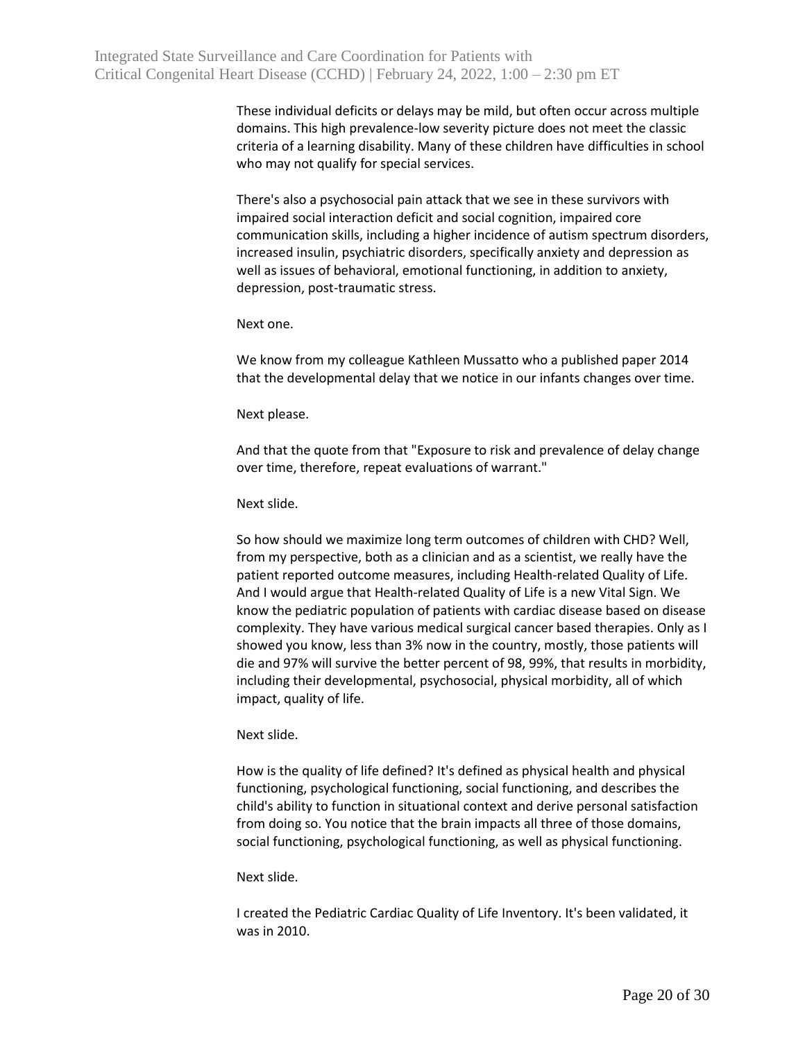These individual deficits or delays may be mild, but often occur across multiple domains. This high prevalence-low severity picture does not meet the classic criteria of a learning disability. Many of these children have difficulties in school who may not qualify for special services.

There's also a psychosocial pain attack that we see in these survivors with impaired social interaction deficit and social cognition, impaired core communication skills, including a higher incidence of autism spectrum disorders, increased insulin, psychiatric disorders, specifically anxiety and depression as well as issues of behavioral, emotional functioning, in addition to anxiety, depression, post-traumatic stress.

## Next one.

We know from my colleague Kathleen Mussatto who a published paper 2014 that the developmental delay that we notice in our infants changes over time.

#### Next please.

And that the quote from that "Exposure to risk and prevalence of delay change over time, therefore, repeat evaluations of warrant."

Next slide.

So how should we maximize long term outcomes of children with CHD? Well, from my perspective, both as a clinician and as a scientist, we really have the patient reported outcome measures, including Health-related Quality of Life. And I would argue that Health-related Quality of Life is a new Vital Sign. We know the pediatric population of patients with cardiac disease based on disease complexity. They have various medical surgical cancer based therapies. Only as I showed you know, less than 3% now in the country, mostly, those patients will die and 97% will survive the better percent of 98, 99%, that results in morbidity, including their developmental, psychosocial, physical morbidity, all of which impact, quality of life.

## Next slide.

How is the quality of life defined? It's defined as physical health and physical functioning, psychological functioning, social functioning, and describes the child's ability to function in situational context and derive personal satisfaction from doing so. You notice that the brain impacts all three of those domains, social functioning, psychological functioning, as well as physical functioning.

## Next slide.

I created the Pediatric Cardiac Quality of Life Inventory. It's been validated, it was in 2010.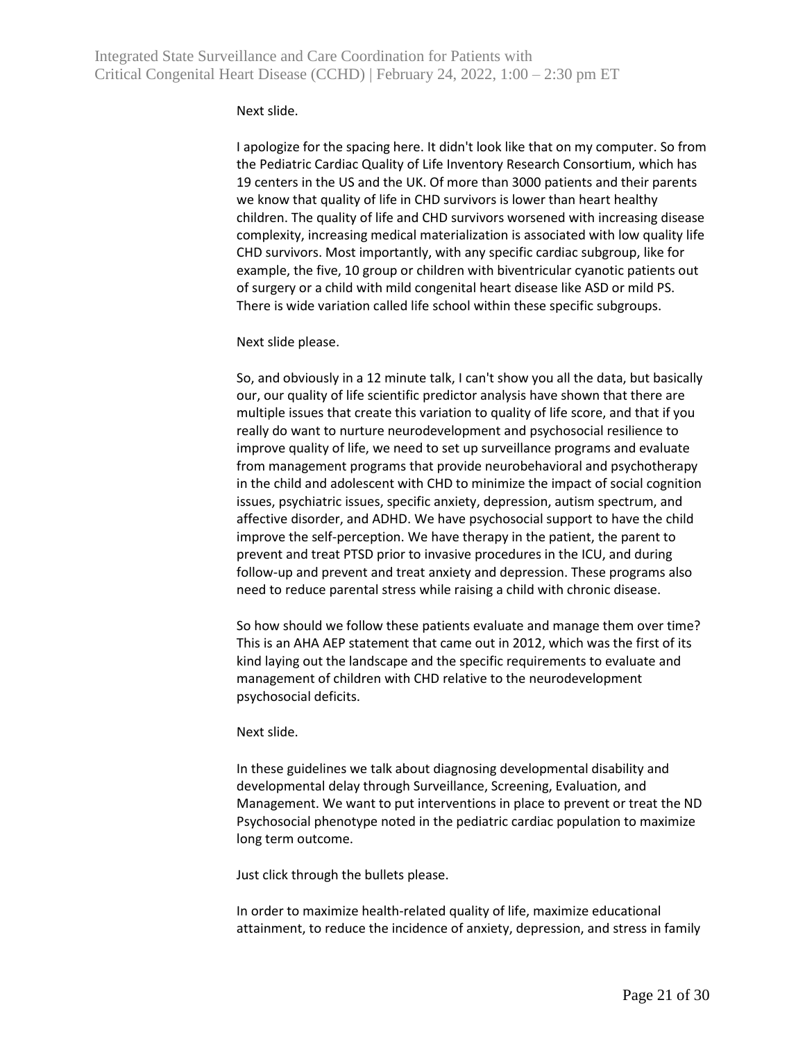## Next slide.

I apologize for the spacing here. It didn't look like that on my computer. So from the Pediatric Cardiac Quality of Life Inventory Research Consortium, which has 19 centers in the US and the UK. Of more than 3000 patients and their parents we know that quality of life in CHD survivors is lower than heart healthy children. The quality of life and CHD survivors worsened with increasing disease complexity, increasing medical materialization is associated with low quality life CHD survivors. Most importantly, with any specific cardiac subgroup, like for example, the five, 10 group or children with biventricular cyanotic patients out of surgery or a child with mild congenital heart disease like ASD or mild PS. There is wide variation called life school within these specific subgroups.

## Next slide please.

So, and obviously in a 12 minute talk, I can't show you all the data, but basically our, our quality of life scientific predictor analysis have shown that there are multiple issues that create this variation to quality of life score, and that if you really do want to nurture neurodevelopment and psychosocial resilience to improve quality of life, we need to set up surveillance programs and evaluate from management programs that provide neurobehavioral and psychotherapy in the child and adolescent with CHD to minimize the impact of social cognition issues, psychiatric issues, specific anxiety, depression, autism spectrum, and affective disorder, and ADHD. We have psychosocial support to have the child improve the self-perception. We have therapy in the patient, the parent to prevent and treat PTSD prior to invasive procedures in the ICU, and during follow-up and prevent and treat anxiety and depression. These programs also need to reduce parental stress while raising a child with chronic disease.

So how should we follow these patients evaluate and manage them over time? This is an AHA AEP statement that came out in 2012, which was the first of its kind laying out the landscape and the specific requirements to evaluate and management of children with CHD relative to the neurodevelopment psychosocial deficits.

## Next slide.

In these guidelines we talk about diagnosing developmental disability and developmental delay through Surveillance, Screening, Evaluation, and Management. We want to put interventions in place to prevent or treat the ND Psychosocial phenotype noted in the pediatric cardiac population to maximize long term outcome.

Just click through the bullets please.

In order to maximize health-related quality of life, maximize educational attainment, to reduce the incidence of anxiety, depression, and stress in family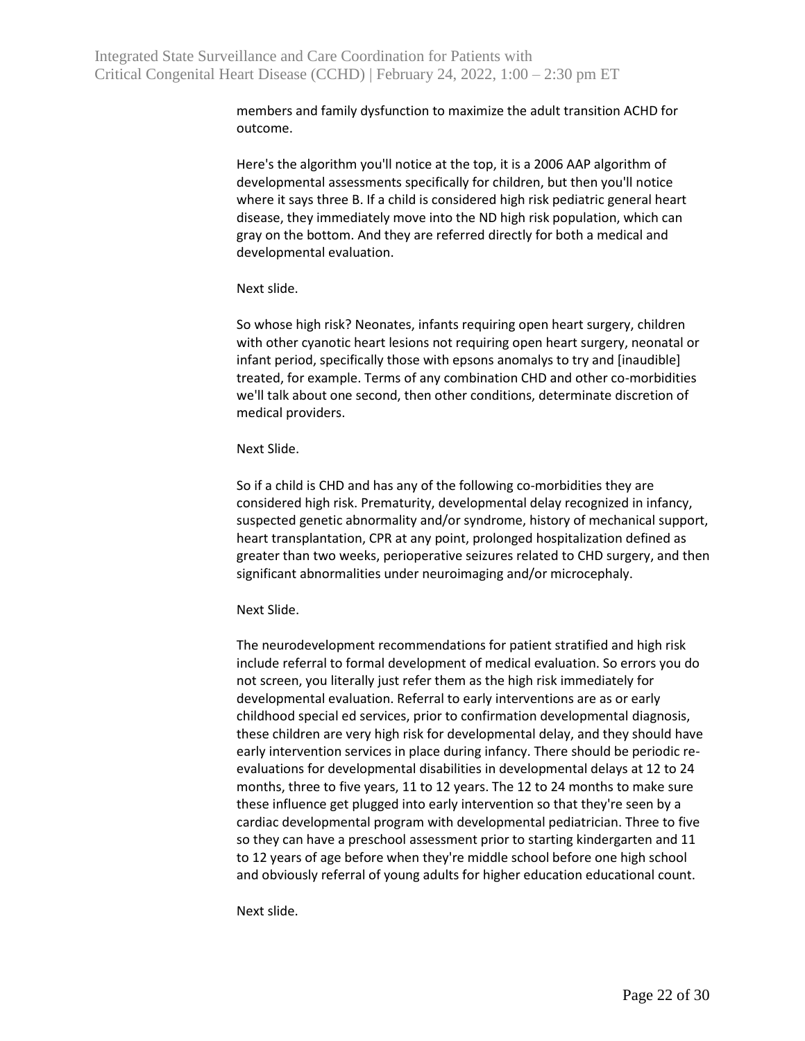members and family dysfunction to maximize the adult transition ACHD for outcome.

Here's the algorithm you'll notice at the top, it is a 2006 AAP algorithm of developmental assessments specifically for children, but then you'll notice where it says three B. If a child is considered high risk pediatric general heart disease, they immediately move into the ND high risk population, which can gray on the bottom. And they are referred directly for both a medical and developmental evaluation.

Next slide.

So whose high risk? Neonates, infants requiring open heart surgery, children with other cyanotic heart lesions not requiring open heart surgery, neonatal or infant period, specifically those with epsons anomalys to try and [inaudible] treated, for example. Terms of any combination CHD and other co-morbidities we'll talk about one second, then other conditions, determinate discretion of medical providers.

Next Slide.

So if a child is CHD and has any of the following co-morbidities they are considered high risk. Prematurity, developmental delay recognized in infancy, suspected genetic abnormality and/or syndrome, history of mechanical support, heart transplantation, CPR at any point, prolonged hospitalization defined as greater than two weeks, perioperative seizures related to CHD surgery, and then significant abnormalities under neuroimaging and/or microcephaly.

Next Slide.

The neurodevelopment recommendations for patient stratified and high risk include referral to formal development of medical evaluation. So errors you do not screen, you literally just refer them as the high risk immediately for developmental evaluation. Referral to early interventions are as or early childhood special ed services, prior to confirmation developmental diagnosis, these children are very high risk for developmental delay, and they should have early intervention services in place during infancy. There should be periodic reevaluations for developmental disabilities in developmental delays at 12 to 24 months, three to five years, 11 to 12 years. The 12 to 24 months to make sure these influence get plugged into early intervention so that they're seen by a cardiac developmental program with developmental pediatrician. Three to five so they can have a preschool assessment prior to starting kindergarten and 11 to 12 years of age before when they're middle school before one high school and obviously referral of young adults for higher education educational count.

Next slide.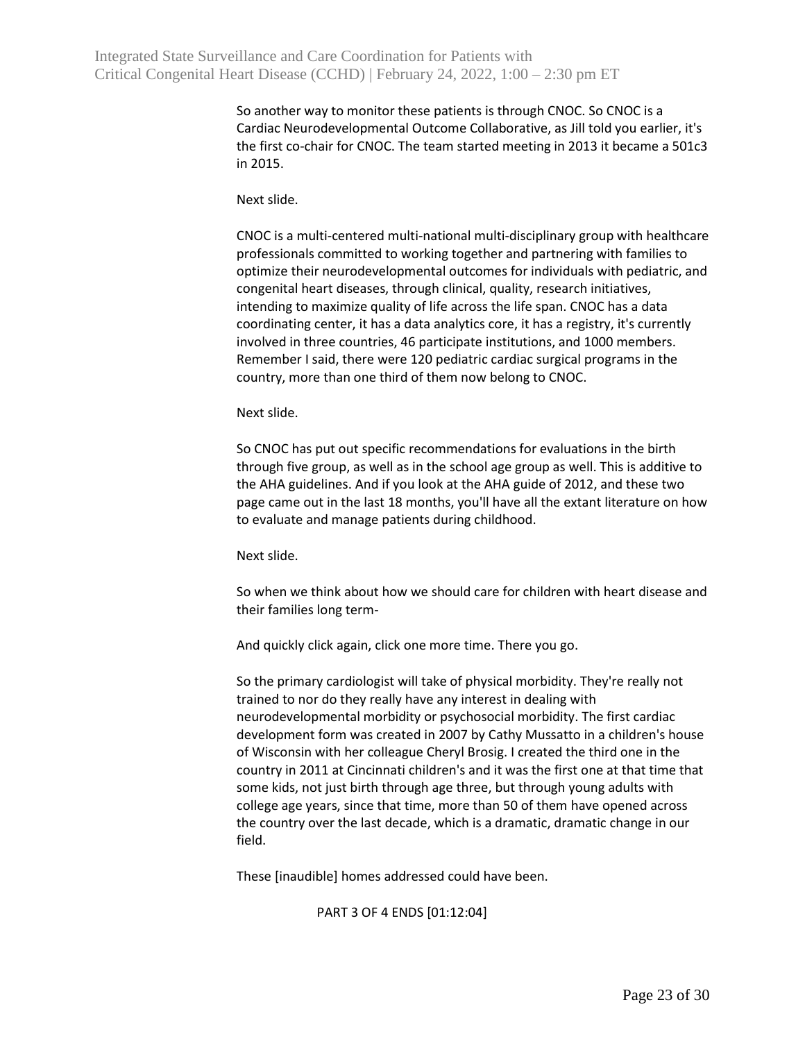So another way to monitor these patients is through CNOC. So CNOC is a Cardiac Neurodevelopmental Outcome Collaborative, as Jill told you earlier, it's the first co-chair for CNOC. The team started meeting in 2013 it became a 501c3 in 2015.

Next slide.

CNOC is a multi-centered multi-national multi-disciplinary group with healthcare professionals committed to working together and partnering with families to optimize their neurodevelopmental outcomes for individuals with pediatric, and congenital heart diseases, through clinical, quality, research initiatives, intending to maximize quality of life across the life span. CNOC has a data coordinating center, it has a data analytics core, it has a registry, it's currently involved in three countries, 46 participate institutions, and 1000 members. Remember I said, there were 120 pediatric cardiac surgical programs in the country, more than one third of them now belong to CNOC.

Next slide.

So CNOC has put out specific recommendations for evaluations in the birth through five group, as well as in the school age group as well. This is additive to the AHA guidelines. And if you look at the AHA guide of 2012, and these two page came out in the last 18 months, you'll have all the extant literature on how to evaluate and manage patients during childhood.

Next slide.

So when we think about how we should care for children with heart disease and their families long term-

And quickly click again, click one more time. There you go.

So the primary cardiologist will take of physical morbidity. They're really not trained to nor do they really have any interest in dealing with neurodevelopmental morbidity or psychosocial morbidity. The first cardiac development form was created in 2007 by Cathy Mussatto in a children's house of Wisconsin with her colleague Cheryl Brosig. I created the third one in the country in 2011 at Cincinnati children's and it was the first one at that time that some kids, not just birth through age three, but through young adults with college age years, since that time, more than 50 of them have opened across the country over the last decade, which is a dramatic, dramatic change in our field.

These [inaudible] homes addressed could have been.

PART 3 OF 4 ENDS [01:12:04]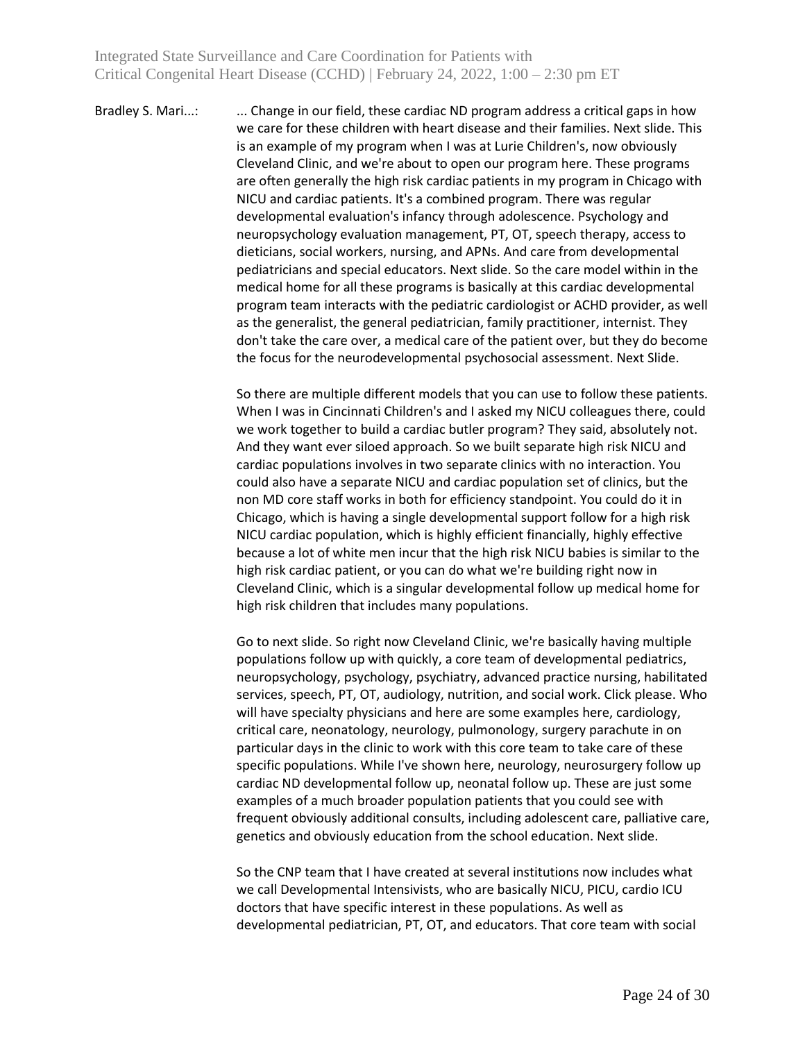Bradley S. Mari...: ... Change in our field, these cardiac ND program address a critical gaps in how we care for these children with heart disease and their families. Next slide. This is an example of my program when I was at Lurie Children's, now obviously Cleveland Clinic, and we're about to open our program here. These programs are often generally the high risk cardiac patients in my program in Chicago with NICU and cardiac patients. It's a combined program. There was regular developmental evaluation's infancy through adolescence. Psychology and neuropsychology evaluation management, PT, OT, speech therapy, access to dieticians, social workers, nursing, and APNs. And care from developmental pediatricians and special educators. Next slide. So the care model within in the medical home for all these programs is basically at this cardiac developmental program team interacts with the pediatric cardiologist or ACHD provider, as well as the generalist, the general pediatrician, family practitioner, internist. They don't take the care over, a medical care of the patient over, but they do become the focus for the neurodevelopmental psychosocial assessment. Next Slide.

> So there are multiple different models that you can use to follow these patients. When I was in Cincinnati Children's and I asked my NICU colleagues there, could we work together to build a cardiac butler program? They said, absolutely not. And they want ever siloed approach. So we built separate high risk NICU and cardiac populations involves in two separate clinics with no interaction. You could also have a separate NICU and cardiac population set of clinics, but the non MD core staff works in both for efficiency standpoint. You could do it in Chicago, which is having a single developmental support follow for a high risk NICU cardiac population, which is highly efficient financially, highly effective because a lot of white men incur that the high risk NICU babies is similar to the high risk cardiac patient, or you can do what we're building right now in Cleveland Clinic, which is a singular developmental follow up medical home for high risk children that includes many populations.

> Go to next slide. So right now Cleveland Clinic, we're basically having multiple populations follow up with quickly, a core team of developmental pediatrics, neuropsychology, psychology, psychiatry, advanced practice nursing, habilitated services, speech, PT, OT, audiology, nutrition, and social work. Click please. Who will have specialty physicians and here are some examples here, cardiology, critical care, neonatology, neurology, pulmonology, surgery parachute in on particular days in the clinic to work with this core team to take care of these specific populations. While I've shown here, neurology, neurosurgery follow up cardiac ND developmental follow up, neonatal follow up. These are just some examples of a much broader population patients that you could see with frequent obviously additional consults, including adolescent care, palliative care, genetics and obviously education from the school education. Next slide.

So the CNP team that I have created at several institutions now includes what we call Developmental Intensivists, who are basically NICU, PICU, cardio ICU doctors that have specific interest in these populations. As well as developmental pediatrician, PT, OT, and educators. That core team with social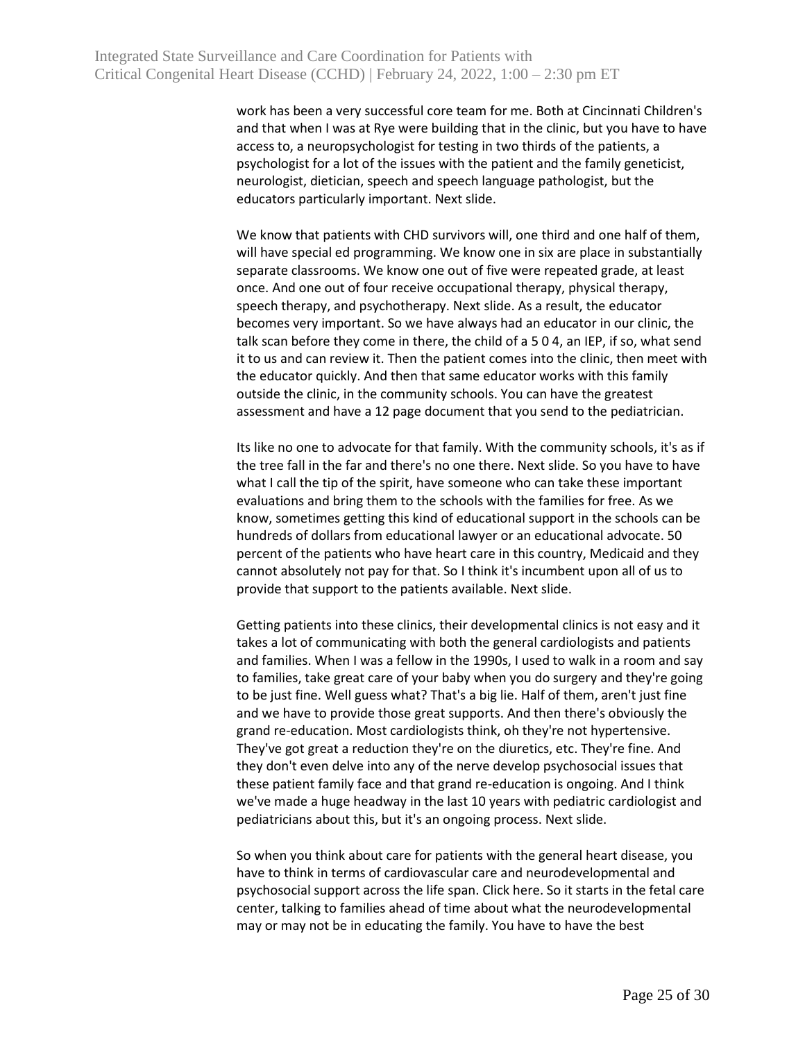work has been a very successful core team for me. Both at Cincinnati Children's and that when I was at Rye were building that in the clinic, but you have to have access to, a neuropsychologist for testing in two thirds of the patients, a psychologist for a lot of the issues with the patient and the family geneticist, neurologist, dietician, speech and speech language pathologist, but the educators particularly important. Next slide.

We know that patients with CHD survivors will, one third and one half of them, will have special ed programming. We know one in six are place in substantially separate classrooms. We know one out of five were repeated grade, at least once. And one out of four receive occupational therapy, physical therapy, speech therapy, and psychotherapy. Next slide. As a result, the educator becomes very important. So we have always had an educator in our clinic, the talk scan before they come in there, the child of a 5 0 4, an IEP, if so, what send it to us and can review it. Then the patient comes into the clinic, then meet with the educator quickly. And then that same educator works with this family outside the clinic, in the community schools. You can have the greatest assessment and have a 12 page document that you send to the pediatrician.

Its like no one to advocate for that family. With the community schools, it's as if the tree fall in the far and there's no one there. Next slide. So you have to have what I call the tip of the spirit, have someone who can take these important evaluations and bring them to the schools with the families for free. As we know, sometimes getting this kind of educational support in the schools can be hundreds of dollars from educational lawyer or an educational advocate. 50 percent of the patients who have heart care in this country, Medicaid and they cannot absolutely not pay for that. So I think it's incumbent upon all of us to provide that support to the patients available. Next slide.

Getting patients into these clinics, their developmental clinics is not easy and it takes a lot of communicating with both the general cardiologists and patients and families. When I was a fellow in the 1990s, I used to walk in a room and say to families, take great care of your baby when you do surgery and they're going to be just fine. Well guess what? That's a big lie. Half of them, aren't just fine and we have to provide those great supports. And then there's obviously the grand re-education. Most cardiologists think, oh they're not hypertensive. They've got great a reduction they're on the diuretics, etc. They're fine. And they don't even delve into any of the nerve develop psychosocial issues that these patient family face and that grand re-education is ongoing. And I think we've made a huge headway in the last 10 years with pediatric cardiologist and pediatricians about this, but it's an ongoing process. Next slide.

So when you think about care for patients with the general heart disease, you have to think in terms of cardiovascular care and neurodevelopmental and psychosocial support across the life span. Click here. So it starts in the fetal care center, talking to families ahead of time about what the neurodevelopmental may or may not be in educating the family. You have to have the best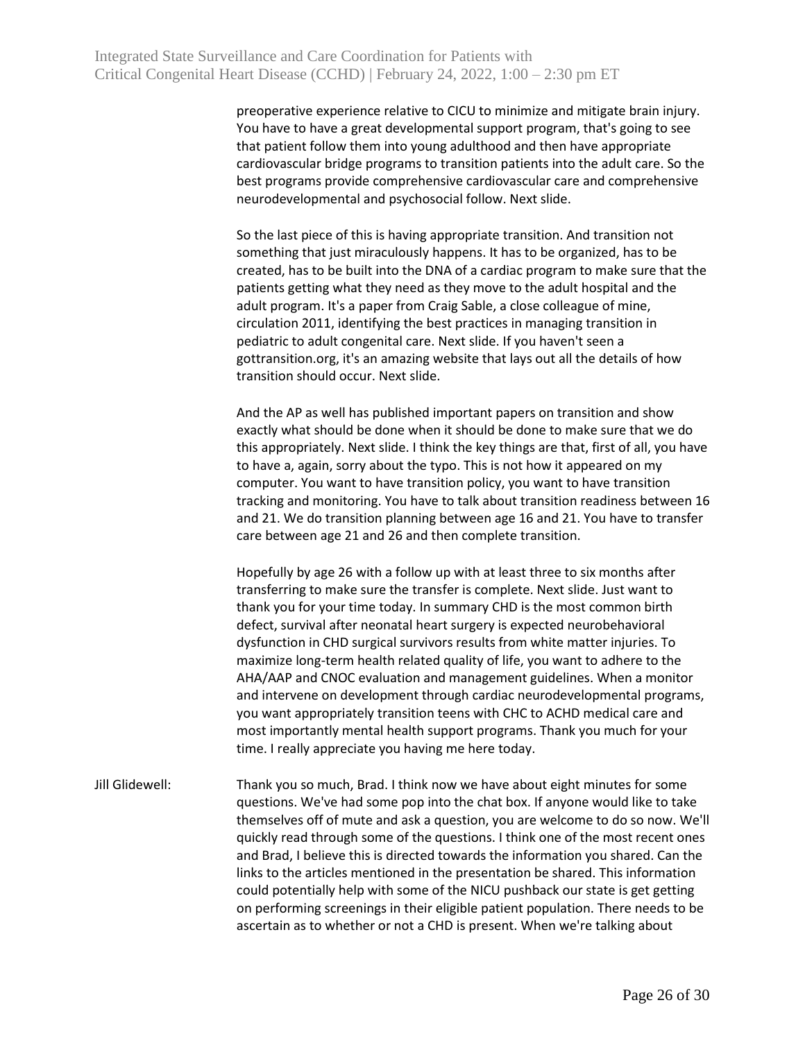preoperative experience relative to CICU to minimize and mitigate brain injury. You have to have a great developmental support program, that's going to see that patient follow them into young adulthood and then have appropriate cardiovascular bridge programs to transition patients into the adult care. So the best programs provide comprehensive cardiovascular care and comprehensive neurodevelopmental and psychosocial follow. Next slide.

So the last piece of this is having appropriate transition. And transition not something that just miraculously happens. It has to be organized, has to be created, has to be built into the DNA of a cardiac program to make sure that the patients getting what they need as they move to the adult hospital and the adult program. It's a paper from Craig Sable, a close colleague of mine, circulation 2011, identifying the best practices in managing transition in pediatric to adult congenital care. Next slide. If you haven't seen a gottransition.org, it's an amazing website that lays out all the details of how transition should occur. Next slide.

And the AP as well has published important papers on transition and show exactly what should be done when it should be done to make sure that we do this appropriately. Next slide. I think the key things are that, first of all, you have to have a, again, sorry about the typo. This is not how it appeared on my computer. You want to have transition policy, you want to have transition tracking and monitoring. You have to talk about transition readiness between 16 and 21. We do transition planning between age 16 and 21. You have to transfer care between age 21 and 26 and then complete transition.

Hopefully by age 26 with a follow up with at least three to six months after transferring to make sure the transfer is complete. Next slide. Just want to thank you for your time today. In summary CHD is the most common birth defect, survival after neonatal heart surgery is expected neurobehavioral dysfunction in CHD surgical survivors results from white matter injuries. To maximize long-term health related quality of life, you want to adhere to the AHA/AAP and CNOC evaluation and management guidelines. When a monitor and intervene on development through cardiac neurodevelopmental programs, you want appropriately transition teens with CHC to ACHD medical care and most importantly mental health support programs. Thank you much for your time. I really appreciate you having me here today.

# Jill Glidewell: Thank you so much, Brad. I think now we have about eight minutes for some questions. We've had some pop into the chat box. If anyone would like to take themselves off of mute and ask a question, you are welcome to do so now. We'll quickly read through some of the questions. I think one of the most recent ones and Brad, I believe this is directed towards the information you shared. Can the links to the articles mentioned in the presentation be shared. This information could potentially help with some of the NICU pushback our state is get getting on performing screenings in their eligible patient population. There needs to be ascertain as to whether or not a CHD is present. When we're talking about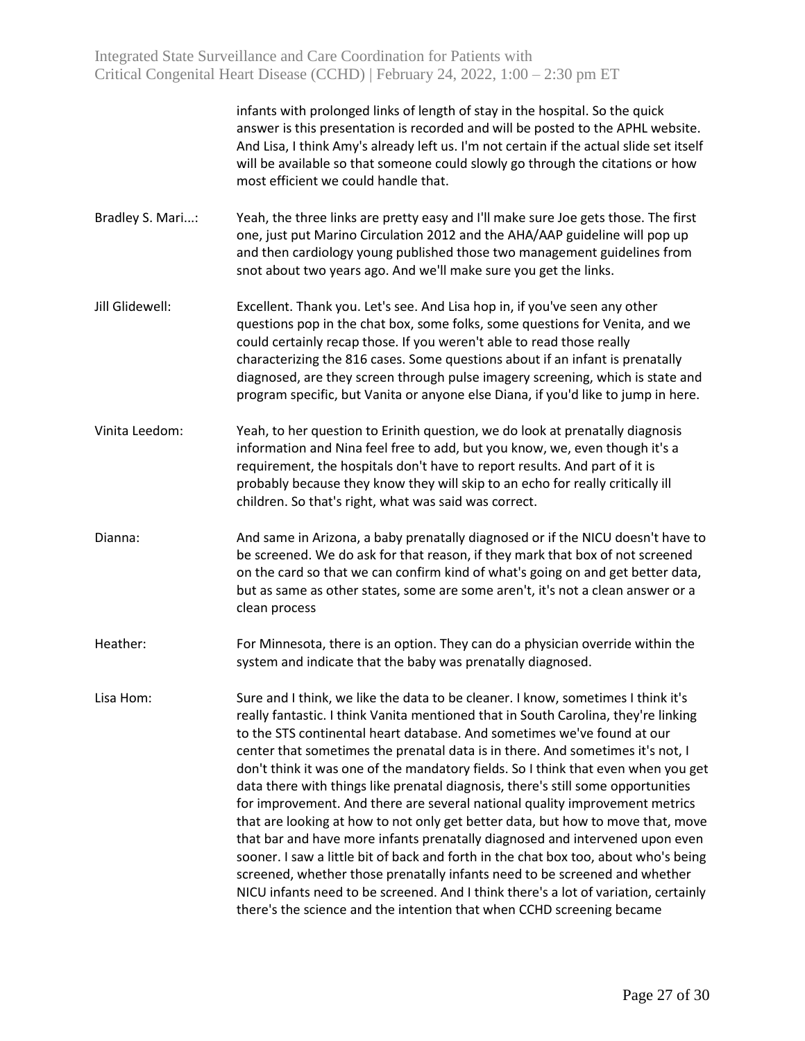Integrated State Surveillance and Care Coordination for Patients with Critical Congenital Heart Disease (CCHD) | February 24, 2022, 1:00 – 2:30 pm ET

> infants with prolonged links of length of stay in the hospital. So the quick answer is this presentation is recorded and will be posted to the APHL website. And Lisa, I think Amy's already left us. I'm not certain if the actual slide set itself will be available so that someone could slowly go through the citations or how most efficient we could handle that.

- Bradley S. Mari...: Yeah, the three links are pretty easy and I'll make sure Joe gets those. The first one, just put Marino Circulation 2012 and the AHA/AAP guideline will pop up and then cardiology young published those two management guidelines from snot about two years ago. And we'll make sure you get the links.
- Jill Glidewell: Excellent. Thank you. Let's see. And Lisa hop in, if you've seen any other questions pop in the chat box, some folks, some questions for Venita, and we could certainly recap those. If you weren't able to read those really characterizing the 816 cases. Some questions about if an infant is prenatally diagnosed, are they screen through pulse imagery screening, which is state and program specific, but Vanita or anyone else Diana, if you'd like to jump in here.
- Vinita Leedom: Yeah, to her question to Erinith question, we do look at prenatally diagnosis information and Nina feel free to add, but you know, we, even though it's a requirement, the hospitals don't have to report results. And part of it is probably because they know they will skip to an echo for really critically ill children. So that's right, what was said was correct.
- Dianna: And same in Arizona, a baby prenatally diagnosed or if the NICU doesn't have to be screened. We do ask for that reason, if they mark that box of not screened on the card so that we can confirm kind of what's going on and get better data, but as same as other states, some are some aren't, it's not a clean answer or a clean process
- Heather: For Minnesota, there is an option. They can do a physician override within the system and indicate that the baby was prenatally diagnosed.
- Lisa Hom: Sure and I think, we like the data to be cleaner. I know, sometimes I think it's really fantastic. I think Vanita mentioned that in South Carolina, they're linking to the STS continental heart database. And sometimes we've found at our center that sometimes the prenatal data is in there. And sometimes it's not, I don't think it was one of the mandatory fields. So I think that even when you get data there with things like prenatal diagnosis, there's still some opportunities for improvement. And there are several national quality improvement metrics that are looking at how to not only get better data, but how to move that, move that bar and have more infants prenatally diagnosed and intervened upon even sooner. I saw a little bit of back and forth in the chat box too, about who's being screened, whether those prenatally infants need to be screened and whether NICU infants need to be screened. And I think there's a lot of variation, certainly there's the science and the intention that when CCHD screening became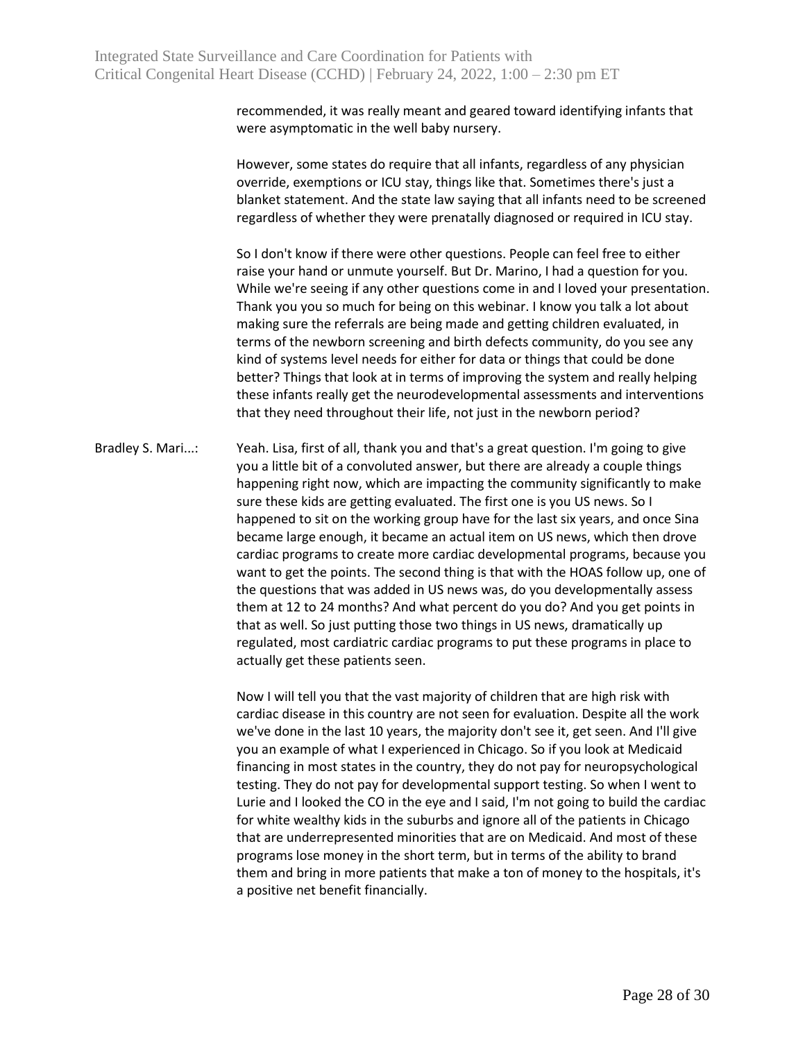recommended, it was really meant and geared toward identifying infants that were asymptomatic in the well baby nursery.

However, some states do require that all infants, regardless of any physician override, exemptions or ICU stay, things like that. Sometimes there's just a blanket statement. And the state law saying that all infants need to be screened regardless of whether they were prenatally diagnosed or required in ICU stay.

So I don't know if there were other questions. People can feel free to either raise your hand or unmute yourself. But Dr. Marino, I had a question for you. While we're seeing if any other questions come in and I loved your presentation. Thank you you so much for being on this webinar. I know you talk a lot about making sure the referrals are being made and getting children evaluated, in terms of the newborn screening and birth defects community, do you see any kind of systems level needs for either for data or things that could be done better? Things that look at in terms of improving the system and really helping these infants really get the neurodevelopmental assessments and interventions that they need throughout their life, not just in the newborn period?

Bradley S. Mari...: Yeah. Lisa, first of all, thank you and that's a great question. I'm going to give you a little bit of a convoluted answer, but there are already a couple things happening right now, which are impacting the community significantly to make sure these kids are getting evaluated. The first one is you US news. So I happened to sit on the working group have for the last six years, and once Sina became large enough, it became an actual item on US news, which then drove cardiac programs to create more cardiac developmental programs, because you want to get the points. The second thing is that with the HOAS follow up, one of the questions that was added in US news was, do you developmentally assess them at 12 to 24 months? And what percent do you do? And you get points in that as well. So just putting those two things in US news, dramatically up regulated, most cardiatric cardiac programs to put these programs in place to actually get these patients seen.

> Now I will tell you that the vast majority of children that are high risk with cardiac disease in this country are not seen for evaluation. Despite all the work we've done in the last 10 years, the majority don't see it, get seen. And I'll give you an example of what I experienced in Chicago. So if you look at Medicaid financing in most states in the country, they do not pay for neuropsychological testing. They do not pay for developmental support testing. So when I went to Lurie and I looked the CO in the eye and I said, I'm not going to build the cardiac for white wealthy kids in the suburbs and ignore all of the patients in Chicago that are underrepresented minorities that are on Medicaid. And most of these programs lose money in the short term, but in terms of the ability to brand them and bring in more patients that make a ton of money to the hospitals, it's a positive net benefit financially.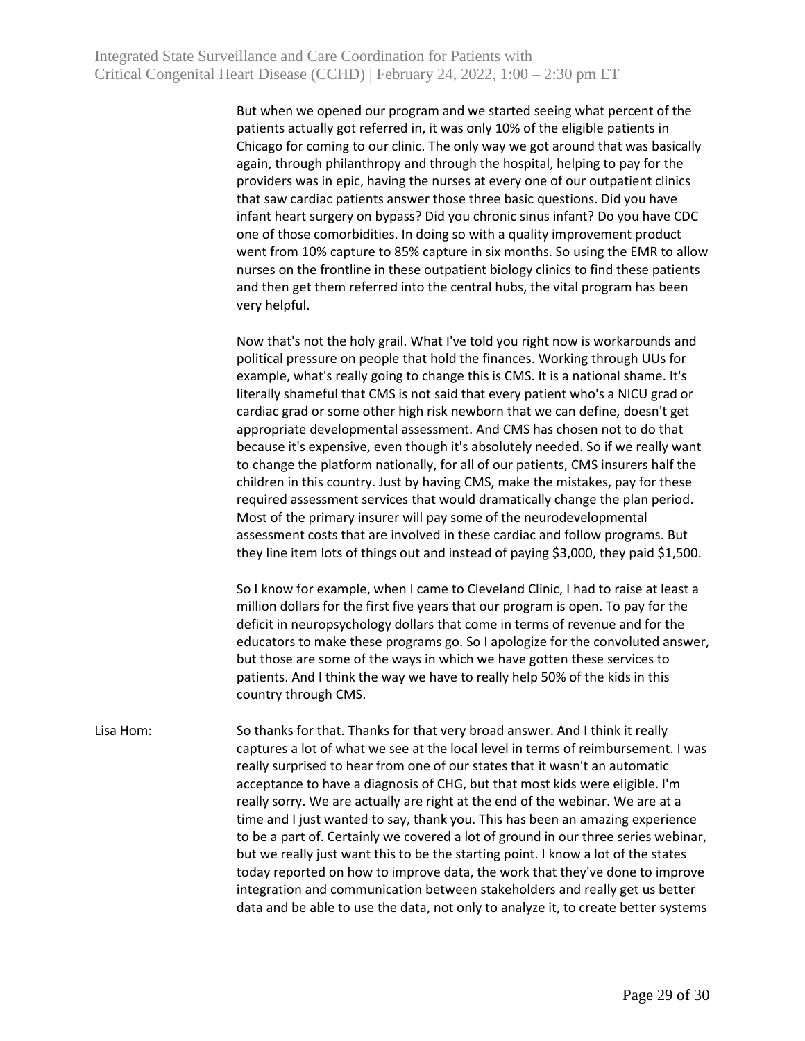But when we opened our program and we started seeing what percent of the patients actually got referred in, it was only 10% of the eligible patients in Chicago for coming to our clinic. The only way we got around that was basically again, through philanthropy and through the hospital, helping to pay for the providers was in epic, having the nurses at every one of our outpatient clinics that saw cardiac patients answer those three basic questions. Did you have infant heart surgery on bypass? Did you chronic sinus infant? Do you have CDC one of those comorbidities. In doing so with a quality improvement product went from 10% capture to 85% capture in six months. So using the EMR to allow nurses on the frontline in these outpatient biology clinics to find these patients and then get them referred into the central hubs, the vital program has been very helpful.

Now that's not the holy grail. What I've told you right now is workarounds and political pressure on people that hold the finances. Working through UUs for example, what's really going to change this is CMS. It is a national shame. It's literally shameful that CMS is not said that every patient who's a NICU grad or cardiac grad or some other high risk newborn that we can define, doesn't get appropriate developmental assessment. And CMS has chosen not to do that because it's expensive, even though it's absolutely needed. So if we really want to change the platform nationally, for all of our patients, CMS insurers half the children in this country. Just by having CMS, make the mistakes, pay for these required assessment services that would dramatically change the plan period. Most of the primary insurer will pay some of the neurodevelopmental assessment costs that are involved in these cardiac and follow programs. But they line item lots of things out and instead of paying \$3,000, they paid \$1,500.

So I know for example, when I came to Cleveland Clinic, I had to raise at least a million dollars for the first five years that our program is open. To pay for the deficit in neuropsychology dollars that come in terms of revenue and for the educators to make these programs go. So I apologize for the convoluted answer, but those are some of the ways in which we have gotten these services to patients. And I think the way we have to really help 50% of the kids in this country through CMS.

Lisa Hom: So thanks for that. Thanks for that very broad answer. And I think it really captures a lot of what we see at the local level in terms of reimbursement. I was really surprised to hear from one of our states that it wasn't an automatic acceptance to have a diagnosis of CHG, but that most kids were eligible. I'm really sorry. We are actually are right at the end of the webinar. We are at a time and I just wanted to say, thank you. This has been an amazing experience to be a part of. Certainly we covered a lot of ground in our three series webinar, but we really just want this to be the starting point. I know a lot of the states today reported on how to improve data, the work that they've done to improve integration and communication between stakeholders and really get us better data and be able to use the data, not only to analyze it, to create better systems